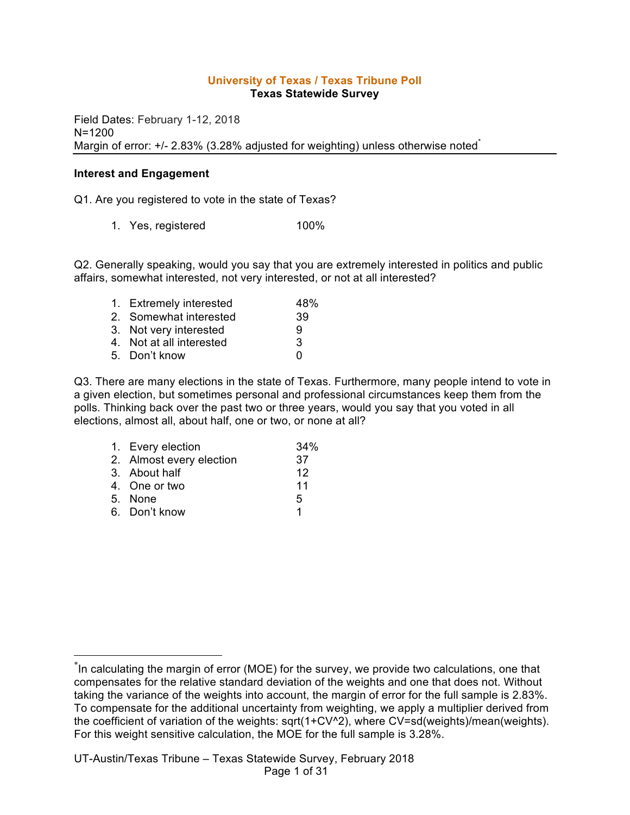#### **University of Texas / Texas Tribune Poll Texas Statewide Survey**

Field Dates: February 1-12, 2018 N=1200 Margin of error: +/- 2.83% (3.28% adjusted for weighting) unless otherwise noted<sup>\*</sup>

#### **Interest and Engagement**

Q1. Are you registered to vote in the state of Texas?

1. Yes, registered 100%

Q2. Generally speaking, would you say that you are extremely interested in politics and public affairs, somewhat interested, not very interested, or not at all interested?

| 1. Extremely interested  | 48% |
|--------------------------|-----|
| 2. Somewhat interested   | 39  |
| 3. Not very interested   | 9   |
| 4. Not at all interested | 3   |
| 5. Don't know            | n   |

Q3. There are many elections in the state of Texas. Furthermore, many people intend to vote in a given election, but sometimes personal and professional circumstances keep them from the polls. Thinking back over the past two or three years, would you say that you voted in all elections, almost all, about half, one or two, or none at all?

| 1. Every election        | 34% |
|--------------------------|-----|
| 2. Almost every election | 37  |
| 3. About half            | 12  |
| 4. One or two            | 11  |
| 5. None                  | 5   |
| 6. Don't know            | 1   |

 <sup>\*</sup> In calculating the margin of error (MOE) for the survey, we provide two calculations, one that compensates for the relative standard deviation of the weights and one that does not. Without taking the variance of the weights into account, the margin of error for the full sample is 2.83%. To compensate for the additional uncertainty from weighting, we apply a multiplier derived from the coefficient of variation of the weights: sqrt(1+CV^2), where CV=sd(weights)/mean(weights). For this weight sensitive calculation, the MOE for the full sample is 3.28%.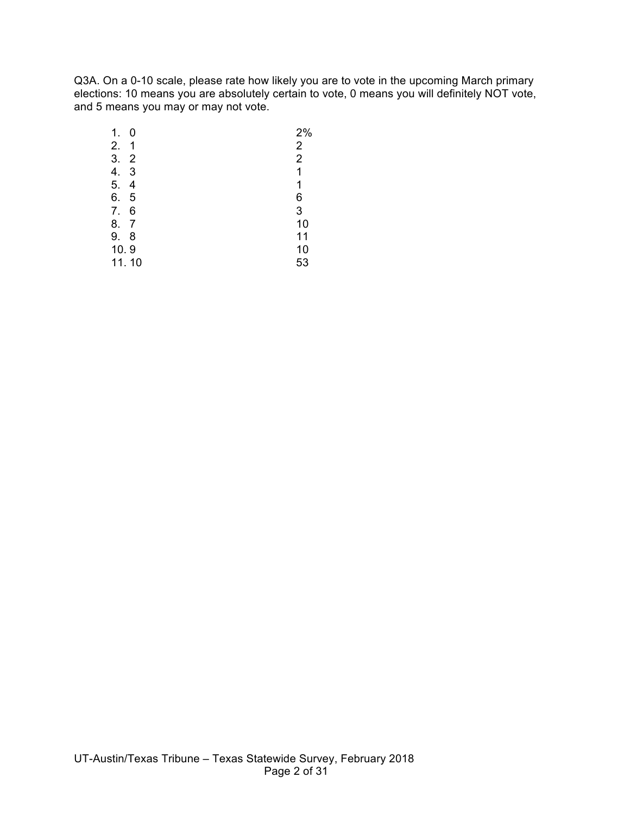Q3A. On a 0-10 scale, please rate how likely you are to vote in the upcoming March primary elections: 10 means you are absolutely certain to vote, 0 means you will definitely NOT vote, and 5 means you may or may not vote.

| 1.    | 0              | 2%             |
|-------|----------------|----------------|
| 2.    | 1              | 2              |
| 3.    | $\overline{2}$ | $\overline{2}$ |
| 4.    | 3              | 1              |
| 5.    | 4              | 1              |
| 6.    | 5              | 6              |
| 7.    | 6              | 3              |
| 8.    | $\overline{7}$ | 10             |
| 9.    | 8              | 11             |
| 10.9  |                | 10             |
| 11.10 |                | 53             |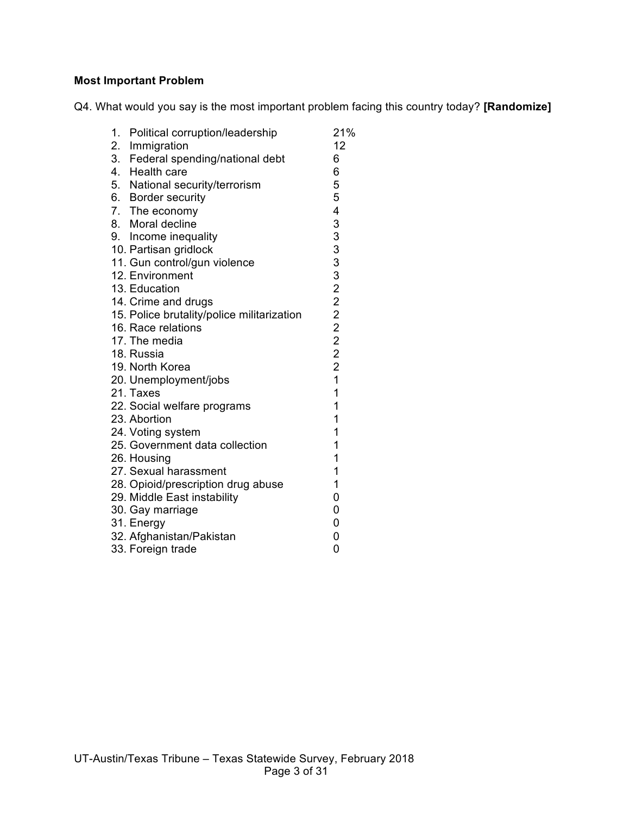# **Most Important Problem**

Q4. What would you say is the most important problem facing this country today? **[Randomize]**

| 1.<br>Political corruption/leadership      | 21%            |
|--------------------------------------------|----------------|
| 2. Immigration                             | 12             |
| 3. Federal spending/national debt          | 6              |
| 4. Health care                             | 6              |
| 5. National security/terrorism             | 5              |
| 6. Border security                         | 5              |
| 7. The economy                             | 4              |
| 8. Moral decline                           | 33332222222    |
| 9. Income inequality                       |                |
| 10. Partisan gridlock                      |                |
| 11. Gun control/gun violence               |                |
| 12. Environment                            |                |
| 13. Education                              |                |
| 14. Crime and drugs                        |                |
| 15. Police brutality/police militarization |                |
| 16. Race relations                         |                |
| 17. The media                              |                |
| 18. Russia                                 |                |
| 19. North Korea                            |                |
| 20. Unemployment/jobs                      | $\overline{1}$ |
| 21. Taxes                                  | 1              |
| 22. Social welfare programs                | 1              |
| 23. Abortion                               | 1              |
| 24. Voting system                          | 1              |
| 25. Government data collection             | 1              |
| 26. Housing                                | 1              |
| 27. Sexual harassment                      | $\mathbf 1$    |
| 28. Opioid/prescription drug abuse         | 1              |
| 29. Middle East instability                | 0              |
| 30. Gay marriage                           | 0              |
| 31. Energy                                 | 0              |
| 32. Afghanistan/Pakistan                   | 0              |
| 33. Foreign trade                          | 0              |
|                                            |                |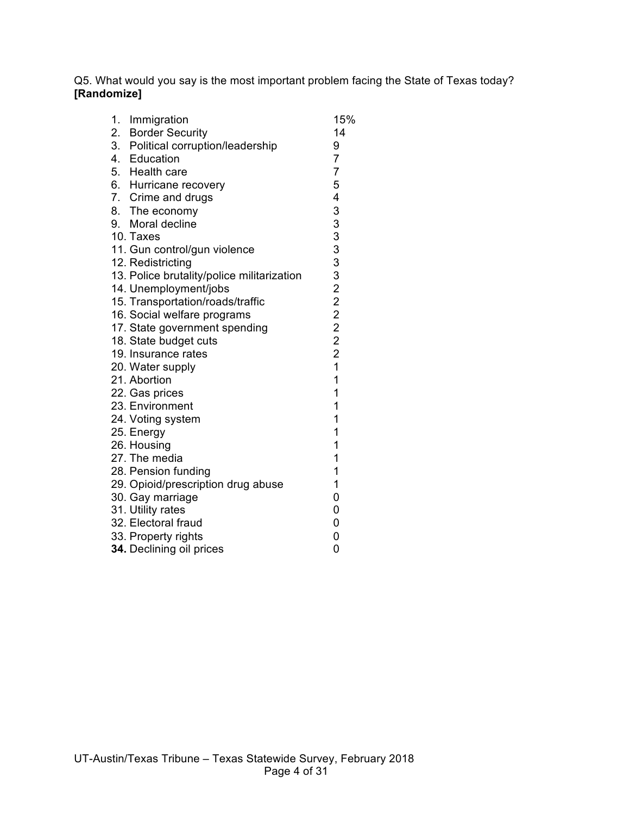Q5. What would you say is the most important problem facing the State of Texas today? **[Randomize]**

| 1.<br>Immigration                          | 15%                     |
|--------------------------------------------|-------------------------|
| 2. Border Security                         | 14                      |
| 3. Political corruption/leadership         | 9                       |
| 4. Education                               | $\overline{7}$          |
| 5. Health care                             | $\overline{7}$          |
| 6. Hurricane recovery                      | 5                       |
| 7. Crime and drugs                         | $\overline{\mathbf{4}}$ |
| 8. The economy                             | 3                       |
| 9. Moral decline                           |                         |
| 10. Taxes                                  |                         |
| 11. Gun control/gun violence               | 3333222222              |
| 12. Redistricting                          |                         |
| 13. Police brutality/police militarization |                         |
| 14. Unemployment/jobs                      |                         |
| 15. Transportation/roads/traffic           |                         |
| 16. Social welfare programs                |                         |
| 17. State government spending              |                         |
| 18. State budget cuts                      |                         |
| 19. Insurance rates                        | $\overline{1}$          |
| 20. Water supply                           |                         |
| 21. Abortion                               | $\mathbf{1}$<br>1       |
| 22. Gas prices                             |                         |
| 23. Environment                            | 1                       |
| 24. Voting system                          | 1                       |
| 25. Energy                                 | 1                       |
| 26. Housing                                | 1<br>1                  |
| 27. The media                              | 1                       |
| 28. Pension funding                        | 1                       |
| 29. Opioid/prescription drug abuse         | 0                       |
| 30. Gay marriage                           | 0                       |
| 31. Utility rates                          |                         |
| 32. Electoral fraud                        | 0                       |
| 33. Property rights                        | 0<br>0                  |
| 34. Declining oil prices                   |                         |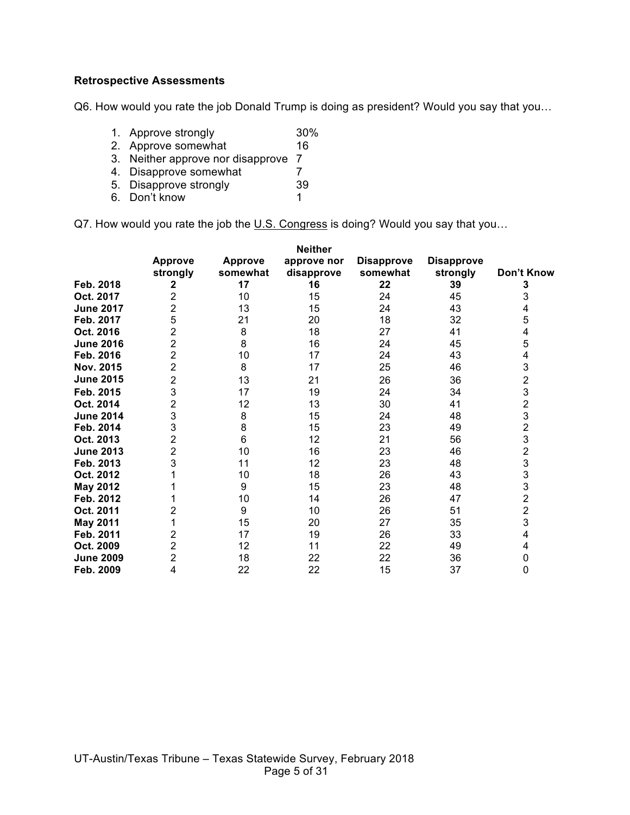## **Retrospective Assessments**

Q6. How would you rate the job Donald Trump is doing as president? Would you say that you…

- 1. Approve strongly 30%
- 2. Approve somewhat 16
- 3. Neither approve nor disapprove 7
- 4. Disapprove somewhat 7<br>5. Disapprove strongly 39
- 5. Disapprove strongly
- 6. Don't know 1

Q7. How would you rate the job the U.S. Congress is doing? Would you say that you...

|                  |                |                | <b>Neither</b> |                   |                   |                                                   |
|------------------|----------------|----------------|----------------|-------------------|-------------------|---------------------------------------------------|
|                  | <b>Approve</b> | <b>Approve</b> | approve nor    | <b>Disapprove</b> | <b>Disapprove</b> |                                                   |
|                  | strongly       | somewhat       | disapprove     | somewhat          | strongly          | Don't Know                                        |
| Feb. 2018        | 2              | 17             | 16             | 22                | 39                | 3                                                 |
| Oct. 2017        | $\overline{2}$ | 10             | 15             | 24                | 45                | 3                                                 |
| <b>June 2017</b> | $\overline{2}$ | 13             | 15             | 24                | 43                | 4                                                 |
| Feb. 2017        | 5              | 21             | 20             | 18                | 32                | 5                                                 |
| Oct. 2016        | $\overline{2}$ | 8              | 18             | 27                | 41                | 4                                                 |
| <b>June 2016</b> | $\overline{c}$ | 8              | 16             | 24                | 45                | 5                                                 |
| Feb. 2016        | $\overline{2}$ | 10             | 17             | 24                | 43                | 4                                                 |
| Nov. 2015        | $\overline{2}$ | 8              | 17             | 25                | 46                | 3                                                 |
| <b>June 2015</b> | 2              | 13             | 21             | 26                | 36                | $\overline{\mathbf{c}}$                           |
| Feb. 2015        | 3              | 17             | 19             | 24                | 34                | 3                                                 |
| Oct. 2014        | $\overline{2}$ | 12             | 13             | 30                | 41                | $\begin{array}{c}\n2 \\ 3 \\ 2 \\ 3\n\end{array}$ |
| <b>June 2014</b> | 3              | 8              | 15             | 24                | 48                |                                                   |
| Feb. 2014        | 3              | 8              | 15             | 23                | 49                |                                                   |
| Oct. 2013        | 2              | 6              | 12             | 21                | 56                |                                                   |
| <b>June 2013</b> | $\overline{2}$ | 10             | 16             | 23                | 46                | $\begin{array}{c} 2 \\ 3 \\ 3 \end{array}$        |
| Feb. 2013        | 3              | 11             | 12             | 23                | 48                |                                                   |
| Oct. 2012        |                | 10             | 18             | 26                | 43                |                                                   |
| May 2012         |                | 9              | 15             | 23                | 48                | $\begin{array}{c} 3 \\ 2 \\ 2 \end{array}$        |
| Feb. 2012        |                | 10             | 14             | 26                | 47                |                                                   |
| Oct. 2011        | 2              | 9              | 10             | 26                | 51                |                                                   |
| <b>May 2011</b>  |                | 15             | 20             | 27                | 35                | 3                                                 |
| Feb. 2011        | 2              | 17             | 19             | 26                | 33                | 4                                                 |
| Oct. 2009        | 2              | 12             | 11             | 22                | 49                | 4                                                 |
| <b>June 2009</b> | $\overline{2}$ | 18             | 22             | 22                | 36                | 0                                                 |
| Feb. 2009        | 4              | 22             | 22             | 15                | 37                | 0                                                 |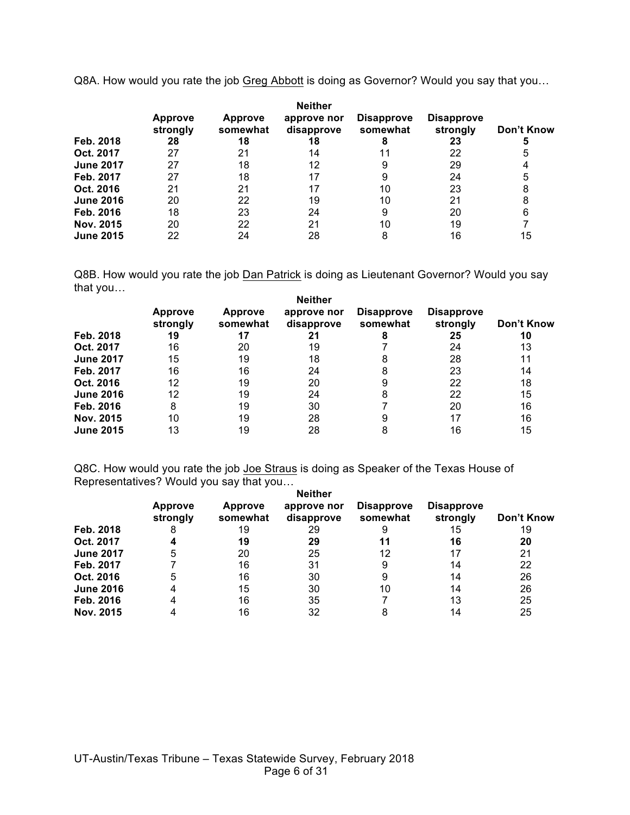Q8A. How would you rate the job Greg Abbott is doing as Governor? Would you say that you…

|                  | <b>Approve</b><br>strongly | <b>Approve</b><br>somewhat | <b>Neither</b><br>approve nor<br>disapprove | <b>Disapprove</b><br>somewhat | <b>Disapprove</b><br>strongly | Don't Know |
|------------------|----------------------------|----------------------------|---------------------------------------------|-------------------------------|-------------------------------|------------|
| Feb. 2018        | 28                         | 18                         | 18                                          |                               | 23                            | 5          |
| Oct. 2017        | 27                         | 21                         | 14                                          | 11                            | 22                            | 5          |
| <b>June 2017</b> | 27                         | 18                         | 12                                          |                               | 29                            |            |
| Feb. 2017        | 27                         | 18                         |                                             |                               | 24                            | 5          |
| Oct. 2016        | 21                         | 21                         | 17                                          | 10                            | 23                            | 8          |
| <b>June 2016</b> | 20                         | 22                         | 19                                          | 10                            | 21                            | 8          |
| Feb. 2016        | 18                         | 23                         | 24                                          | 9                             | 20                            | 6          |
| Nov. 2015        | 20                         | 22                         | 21                                          | 10                            | 19                            |            |
| <b>June 2015</b> | 22                         | 24                         | 28                                          | 8                             | 16                            | 15         |

Q8B. How would you rate the job Dan Patrick is doing as Lieutenant Governor? Would you say that you… **New Selection** 

| Feb. 2018        | <b>Approve</b><br>strongly<br>19 | <b>Approve</b><br>somewhat<br>17 | Neither<br>approve nor<br>disapprove<br>21 | <b>Disapprove</b><br>somewhat<br>8 | <b>Disapprove</b><br>strongly<br>25 | Don't Know<br>10 |
|------------------|----------------------------------|----------------------------------|--------------------------------------------|------------------------------------|-------------------------------------|------------------|
| Oct. 2017        | 16                               | 20                               | 19                                         |                                    | 24                                  | 13               |
| <b>June 2017</b> | 15                               | 19                               | 18                                         | 8                                  | 28                                  | 11               |
| Feb. 2017        | 16                               | 16                               | 24                                         | 8                                  | 23                                  | 14               |
| Oct. 2016        | 12                               | 19                               | 20                                         |                                    | 22                                  | 18               |
| <b>June 2016</b> | 12                               | 19                               | 24                                         | 8                                  | 22                                  | 15               |
| Feb. 2016        | 8                                | 19                               | 30                                         |                                    | 20                                  | 16               |
| Nov. 2015        | 10                               | 19                               | 28                                         | 9                                  | 17                                  | 16               |
| <b>June 2015</b> | 13                               | 19                               | 28                                         | 8                                  | 16                                  | 15               |
|                  |                                  |                                  |                                            |                                    |                                     |                  |

Q8C. How would you rate the job Joe Straus is doing as Speaker of the Texas House of Representatives? Would you say that you…

|                  | <b>Approve</b> | <b>Neither</b><br><b>Disapprove</b><br><b>Disapprove</b><br><b>Approve</b><br>approve nor |            |          |          |            |  |
|------------------|----------------|-------------------------------------------------------------------------------------------|------------|----------|----------|------------|--|
|                  | strongly       | somewhat                                                                                  | disapprove | somewhat | strongly | Don't Know |  |
| Feb. 2018        | 8              | 19                                                                                        | 29         | 9        | 15       | 19         |  |
| Oct. 2017        |                | 19                                                                                        | 29         | 11       | 16       | 20         |  |
| <b>June 2017</b> | 5              | 20                                                                                        | 25         | 12       | 17       | 21         |  |
| Feb. 2017        |                | 16                                                                                        | 31         | 9        | 14       | 22         |  |
| Oct. 2016        | 5              | 16                                                                                        | 30         | 9        | 14       | 26         |  |
| <b>June 2016</b> | 4              | 15                                                                                        | 30         | 10       | 14       | 26         |  |
| Feb. 2016        |                | 16                                                                                        | 35         |          | 13       | 25         |  |
| Nov. 2015        |                | 16                                                                                        | 32         | 8        | 14       | 25         |  |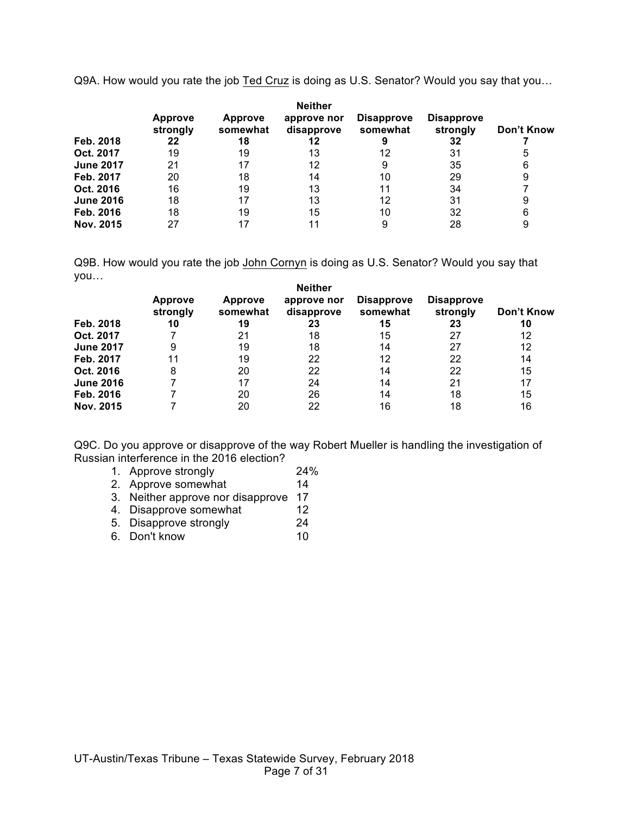Q9A. How would you rate the job Ted Cruz is doing as U.S. Senator? Would you say that you…

|                  | <b>Approve</b><br>strongly | <b>Approve</b><br>somewhat | <b>Neither</b><br>approve nor<br>disapprove | <b>Disapprove</b><br>somewhat | <b>Disapprove</b><br>strongly | Don't Know |
|------------------|----------------------------|----------------------------|---------------------------------------------|-------------------------------|-------------------------------|------------|
| Feb. 2018        | 22                         | 18                         | 12                                          |                               | 32                            |            |
| Oct. 2017        | 19                         | 19                         | 13                                          | 12                            | 31                            | 5          |
| <b>June 2017</b> | 21                         | 17                         | 12                                          | 9                             | 35                            | 6          |
| Feb. 2017        | 20                         | 18                         | 14                                          | 10                            | 29                            | 9          |
| Oct. 2016        | 16                         | 19                         | 13                                          | 11                            | 34                            |            |
| <b>June 2016</b> | 18                         | 17                         | 13                                          | 12                            | 31                            | 9          |
| Feb. 2016        | 18                         | 19                         | 15                                          | 10                            | 32                            | 6          |
| Nov. 2015        | 27                         | 17                         |                                             | 9                             | 28                            | 9          |

Q9B. How would you rate the job John Cornyn is doing as U.S. Senator? Would you say that you…

|                  | <b>Neither</b>             |                            |                           |                               |                               |            |  |
|------------------|----------------------------|----------------------------|---------------------------|-------------------------------|-------------------------------|------------|--|
|                  | <b>Approve</b><br>strongly | <b>Approve</b><br>somewhat | approve nor<br>disapprove | <b>Disapprove</b><br>somewhat | <b>Disapprove</b><br>strongly | Don't Know |  |
| Feb. 2018        | 10                         | 19                         | 23                        | 15                            | 23                            | 10         |  |
| Oct. 2017        |                            | 21                         | 18                        | 15                            | 27                            | 12         |  |
| <b>June 2017</b> | 9                          | 19                         | 18                        | 14                            | 27                            | 12         |  |
| Feb. 2017        | 11                         | 19                         | 22                        | 12                            | 22                            | 14         |  |
| Oct. 2016        | 8                          | 20                         | 22                        | 14                            | 22                            | 15         |  |
| <b>June 2016</b> |                            | 17                         | 24                        | 14                            | 21                            | 17         |  |
| Feb. 2016        |                            | 20                         | 26                        | 14                            | 18                            | 15         |  |
| Nov. 2015        |                            | 20                         | 22                        | 16                            | 18                            | 16         |  |

Q9C. Do you approve or disapprove of the way Robert Mueller is handling the investigation of Russian interference in the 2016 election?

- 1. Approve strongly  $24\%$ <br>
2. Approve somewhat  $14$
- 2. Approve somewhat
- 3. Neither approve nor disapprove 17<br>4. Disapprove somewhat 12
- 4. Disapprove somewhat
- 5. Disapprove strongly 24
- 6. Don't know 10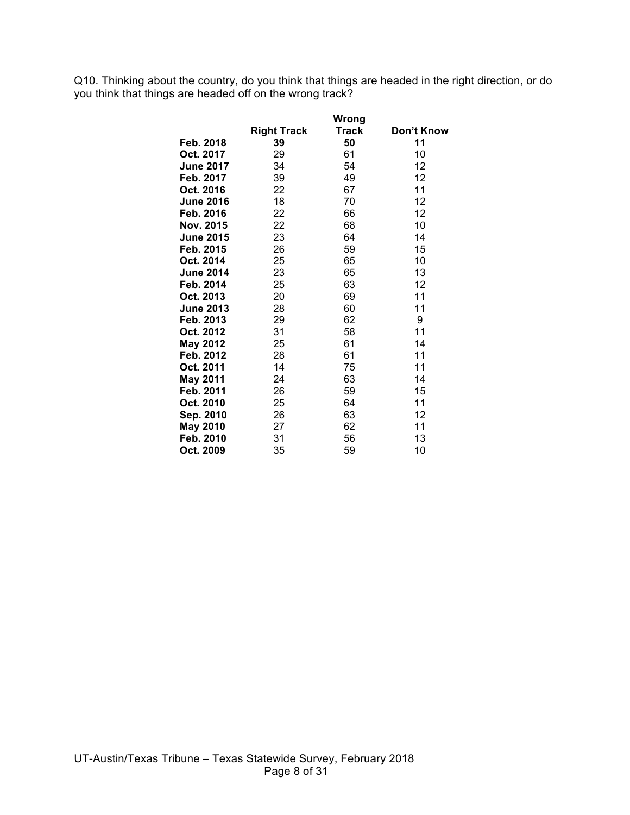Q10. Thinking about the country, do you think that things are headed in the right direction, or do you think that things are headed off on the wrong track?

|                  |                    | Wrong |            |
|------------------|--------------------|-------|------------|
|                  | <b>Right Track</b> | Track | Don't Know |
| Feb. 2018        | 39                 | 50    | 11         |
| Oct. 2017        | 29                 | 61    | 10         |
| <b>June 2017</b> | 34                 | 54    | 12         |
| Feb. 2017        | 39                 | 49    | 12         |
| Oct. 2016        | 22                 | 67    | 11         |
| <b>June 2016</b> | 18                 | 70    | 12         |
| Feb. 2016        | 22                 | 66    | 12         |
| Nov. 2015        | 22                 | 68    | 10         |
| <b>June 2015</b> | 23                 | 64    | 14         |
| Feb. 2015        | 26                 | 59    | 15         |
| Oct. 2014        | 25                 | 65    | 10         |
| <b>June 2014</b> | 23                 | 65    | 13         |
| Feb. 2014        | 25                 | 63    | 12         |
| Oct. 2013        | 20                 | 69    | 11         |
| <b>June 2013</b> | 28                 | 60    | 11         |
| Feb. 2013        | 29                 | 62    | 9          |
| Oct. 2012        | 31                 | 58    | 11         |
| <b>May 2012</b>  | 25                 | 61    | 14         |
| Feb. 2012        | 28                 | 61    | 11         |
| Oct. 2011        | 14                 | 75    | 11         |
| <b>May 2011</b>  | 24                 | 63    | 14         |
| Feb. 2011        | 26                 | 59    | 15         |
| Oct. 2010        | 25                 | 64    | 11         |
| Sep. 2010        | 26                 | 63    | 12         |
| <b>May 2010</b>  | 27                 | 62    | 11         |
| Feb. 2010        | 31                 | 56    | 13         |
| Oct. 2009        | 35                 | 59    | 10         |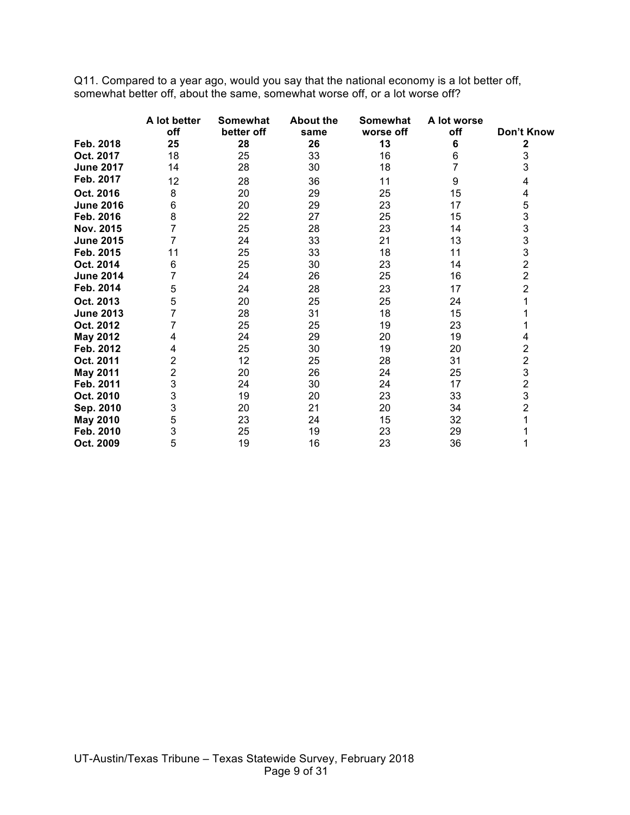Q11. Compared to a year ago, would you say that the national economy is a lot better off, somewhat better off, about the same, somewhat worse off, or a lot worse off?

|                  | A lot better | <b>Somewhat</b> | <b>About the</b> | Somewhat  | A lot worse |                |
|------------------|--------------|-----------------|------------------|-----------|-------------|----------------|
|                  | off          | better off      | same             | worse off | off         | Don't Know     |
| Feb. 2018        | 25           | 28              | 26               | 13        | 6           | 2              |
| Oct. 2017        | 18           | 25              | 33               | 16        | 6           | 3              |
| <b>June 2017</b> | 14           | 28              | 30               | 18        |             | 3              |
| Feb. 2017        | 12           | 28              | 36               | 11        | 9           | 4              |
| Oct. 2016        | 8            | 20              | 29               | 25        | 15          | 4              |
| <b>June 2016</b> | 6            | 20              | 29               | 23        | 17          | 5              |
| Feb. 2016        | 8            | 22              | 27               | 25        | 15          | 3              |
| Nov. 2015        | 7            | 25              | 28               | 23        | 14          | 3              |
| <b>June 2015</b> | 7            | 24              | 33               | 21        | 13          | 3              |
| Feb. 2015        | 11           | 25              | 33               | 18        | 11          | 3              |
| Oct. 2014        | 6            | 25              | 30               | 23        | 14          | $\overline{c}$ |
| <b>June 2014</b> | 7            | 24              | 26               | 25        | 16          | $\overline{c}$ |
| Feb. 2014        | 5            | 24              | 28               | 23        | 17          | $\overline{2}$ |
| Oct. 2013        | 5            | 20              | 25               | 25        | 24          | 1              |
| <b>June 2013</b> |              | 28              | 31               | 18        | 15          |                |
| Oct. 2012        |              | 25              | 25               | 19        | 23          |                |
| <b>May 2012</b>  | 4            | 24              | 29               | 20        | 19          | 4              |
| Feb. 2012        | 4            | 25              | 30               | 19        | 20          | 2              |
| Oct. 2011        | 2            | 12              | 25               | 28        | 31          | $\frac{2}{3}$  |
| <b>May 2011</b>  | 2            | 20              | 26               | 24        | 25          |                |
| Feb. 2011        | 3            | 24              | 30               | 24        | 17          | $\frac{2}{3}$  |
| Oct. 2010        | 3            | 19              | 20               | 23        | 33          |                |
| Sep. 2010        | 3            | 20              | 21               | 20        | 34          | $\overline{2}$ |
| May 2010         | 5            | 23              | 24               | 15        | 32          | 1              |
| Feb. 2010        | 3            | 25              | 19               | 23        | 29          |                |
| Oct. 2009        | 5            | 19              | 16               | 23        | 36          | 1              |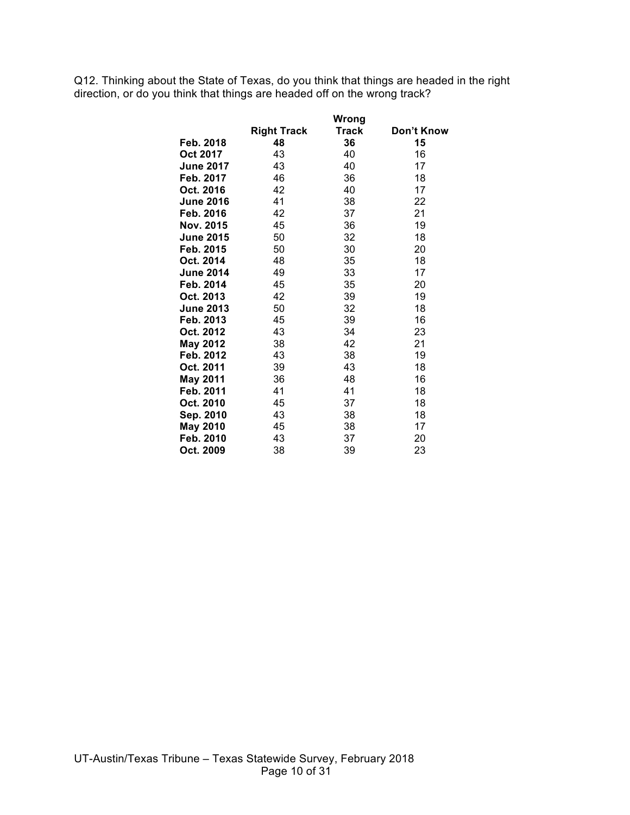Q12. Thinking about the State of Texas, do you think that things are headed in the right direction, or do you think that things are headed off on the wrong track?

|                  |                    | Wrong |            |
|------------------|--------------------|-------|------------|
|                  | <b>Right Track</b> | Track | Don't Know |
| Feb. 2018        | 48                 | 36    | 15         |
| Oct 2017         | 43                 | 40    | 16         |
| <b>June 2017</b> | 43                 | 40    | 17         |
| Feb. 2017        | 46                 | 36    | 18         |
| Oct. 2016        | 42                 | 40    | 17         |
| <b>June 2016</b> | 41                 | 38    | 22         |
| Feb. 2016        | 42                 | 37    | 21         |
| Nov. 2015        | 45                 | 36    | 19         |
| <b>June 2015</b> | 50                 | 32    | 18         |
| Feb. 2015        | 50                 | 30    | 20         |
| Oct. 2014        | 48                 | 35    | 18         |
| <b>June 2014</b> | 49                 | 33    | 17         |
| Feb. 2014        | 45                 | 35    | 20         |
| Oct. 2013        | 42                 | 39    | 19         |
| <b>June 2013</b> | 50                 | 32    | 18         |
| Feb. 2013        | 45                 | 39    | 16         |
| Oct. 2012        | 43                 | 34    | 23         |
| <b>May 2012</b>  | 38                 | 42    | 21         |
| Feb. 2012        | 43                 | 38    | 19         |
| Oct. 2011        | 39                 | 43    | 18         |
| <b>May 2011</b>  | 36                 | 48    | 16         |
| Feb. 2011        | 41                 | 41    | 18         |
| Oct. 2010        | 45                 | 37    | 18         |
| Sep. 2010        | 43                 | 38    | 18         |
| <b>May 2010</b>  | 45                 | 38    | 17         |
| Feb. 2010        | 43                 | 37    | 20         |
| Oct. 2009        | 38                 | 39    | 23         |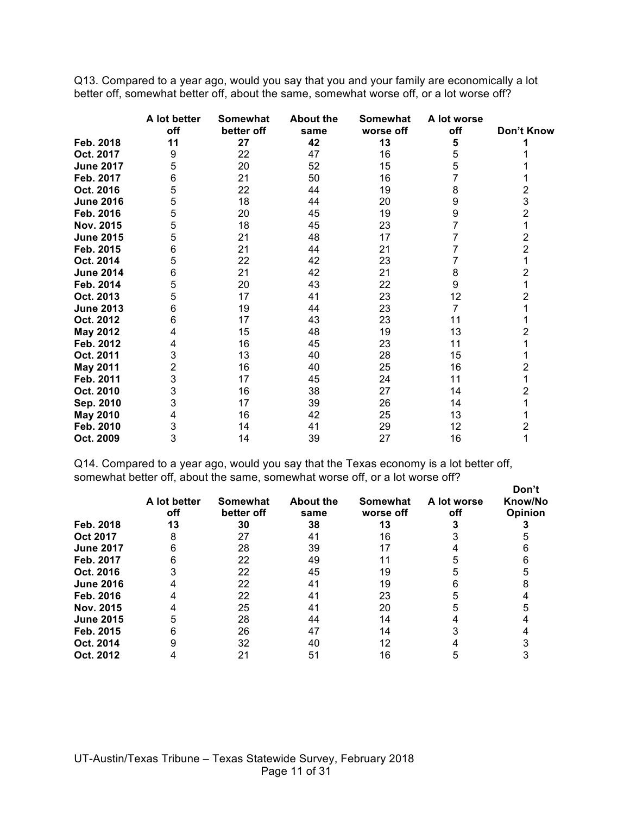Q13. Compared to a year ago, would you say that you and your family are economically a lot better off, somewhat better off, about the same, somewhat worse off, or a lot worse off?

|                  | A lot better | <b>Somewhat</b> | <b>About the</b> | Somewhat  | A lot worse |                |
|------------------|--------------|-----------------|------------------|-----------|-------------|----------------|
|                  | off          | better off      | same             | worse off | off         | Don't Know     |
| Feb. 2018        | 11           | 27              | 42               | 13        | 5           |                |
| Oct. 2017        | 9            | 22              | 47               | 16        | 5           |                |
| <b>June 2017</b> | 5            | 20              | 52               | 15        | 5           |                |
| Feb. 2017        | 6            | 21              | 50               | 16        | 7           |                |
| Oct. 2016        | 5            | 22              | 44               | 19        | 8           | 2              |
| <b>June 2016</b> | 5            | 18              | 44               | 20        | 9           | 3              |
| Feb. 2016        | 5            | 20              | 45               | 19        | 9           | 2              |
| Nov. 2015        | 5            | 18              | 45               | 23        |             |                |
| <b>June 2015</b> | 5            | 21              | 48               | 17        |             | $\overline{2}$ |
| Feb. 2015        | 6            | 21              | 44               | 21        |             | 2              |
| Oct. 2014        | 5            | 22              | 42               | 23        |             |                |
| <b>June 2014</b> | 6            | 21              | 42               | 21        | 8           | 2              |
| Feb. 2014        | 5            | 20              | 43               | 22        | 9           |                |
| Oct. 2013        | 5            | 17              | 41               | 23        | 12          | 2              |
| <b>June 2013</b> | 6            | 19              | 44               | 23        | 7           |                |
| Oct. 2012        | 6            | 17              | 43               | 23        | 11          |                |
| <b>May 2012</b>  | 4            | 15              | 48               | 19        | 13          | 2              |
| Feb. 2012        | 4            | 16              | 45               | 23        | 11          |                |
| Oct. 2011        | 3            | 13              | 40               | 28        | 15          |                |
| <b>May 2011</b>  | 2            | 16              | 40               | 25        | 16          | 2              |
| Feb. 2011        | 3            | 17              | 45               | 24        | 11          |                |
| Oct. 2010        | 3            | 16              | 38               | 27        | 14          | 2              |
| Sep. 2010        | 3            | 17              | 39               | 26        | 14          |                |
| <b>May 2010</b>  | 4            | 16              | 42               | 25        | 13          |                |
| Feb. 2010        | 3            | 14              | 41               | 29        | 12          | 2              |
| Oct. 2009        | 3            | 14              | 39               | 27        | 16          | 1              |

Q14. Compared to a year ago, would you say that the Texas economy is a lot better off, somewhat better off, about the same, somewhat worse off, or a lot worse off?

|                  | A lot better<br>off | <b>Somewhat</b><br>better off | <b>About the</b><br>same | Somewhat<br>worse off | A lot worse<br>off | Don't<br>Know/No<br>Opinion |
|------------------|---------------------|-------------------------------|--------------------------|-----------------------|--------------------|-----------------------------|
| Feb. 2018        | 13                  | 30                            | 38                       | 13                    |                    |                             |
| <b>Oct 2017</b>  |                     | 27                            | 41                       | 16                    |                    |                             |
| <b>June 2017</b> |                     | 28                            | 39                       |                       |                    |                             |
| Feb. 2017        |                     | 22                            | 49                       |                       |                    |                             |
| Oct. 2016        |                     | 22                            | 45                       | 19                    |                    |                             |
| <b>June 2016</b> |                     | 22                            | 41                       | 19                    |                    |                             |
| Feb. 2016        |                     | 22                            | 41                       | 23                    |                    |                             |
| Nov. 2015        |                     | 25                            | 41                       | 20                    |                    |                             |
| <b>June 2015</b> |                     | 28                            | 44                       | 14                    |                    |                             |
| Feb. 2015        |                     | 26                            | 47                       | 14                    |                    |                             |
| Oct. 2014        |                     | 32                            | 40                       | 12                    |                    |                             |
| Oct. 2012        |                     | 21                            | 51                       | 16                    |                    |                             |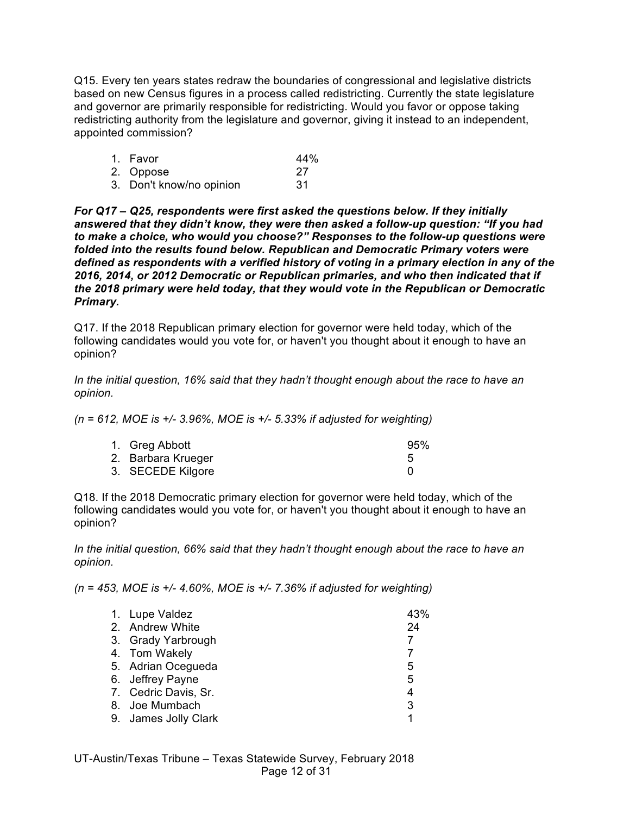Q15. Every ten years states redraw the boundaries of congressional and legislative districts based on new Census figures in a process called redistricting. Currently the state legislature and governor are primarily responsible for redistricting. Would you favor or oppose taking redistricting authority from the legislature and governor, giving it instead to an independent, appointed commission?

| 1. Favor                 | 44% |
|--------------------------|-----|
| 2. Oppose                | -27 |
| 3. Don't know/no opinion | .31 |

*For Q17 – Q25, respondents were first asked the questions below. If they initially answered that they didn't know, they were then asked a follow-up question: "If you had to make a choice, who would you choose?" Responses to the follow-up questions were folded into the results found below. Republican and Democratic Primary voters were defined as respondents with a verified history of voting in a primary election in any of the 2016, 2014, or 2012 Democratic or Republican primaries, and who then indicated that if the 2018 primary were held today, that they would vote in the Republican or Democratic Primary.*

Q17. If the 2018 Republican primary election for governor were held today, which of the following candidates would you vote for, or haven't you thought about it enough to have an opinion?

*In the initial question, 16% said that they hadn't thought enough about the race to have an opinion.*

*(n = 612, MOE is +/- 3.96%, MOE is +/- 5.33% if adjusted for weighting)*

| 1. Greg Abbott     | 95% |
|--------------------|-----|
| 2. Barbara Krueger |     |
| 3. SECEDE Kilgore  |     |

Q18. If the 2018 Democratic primary election for governor were held today, which of the following candidates would you vote for, or haven't you thought about it enough to have an opinion?

*In the initial question, 66% said that they hadn't thought enough about the race to have an opinion.*

*(n = 453, MOE is +/- 4.60%, MOE is +/- 7.36% if adjusted for weighting)*

| 1. Lupe Valdez       | 43% |
|----------------------|-----|
| 2. Andrew White      | 24  |
| 3. Grady Yarbrough   | 7   |
| 4. Tom Wakely        | 7   |
| 5. Adrian Ocegueda   | 5   |
| 6. Jeffrey Payne     | 5   |
| 7. Cedric Davis, Sr. | 4   |
| 8. Joe Mumbach       | 3   |
| 9. James Jolly Clark | 1   |
|                      |     |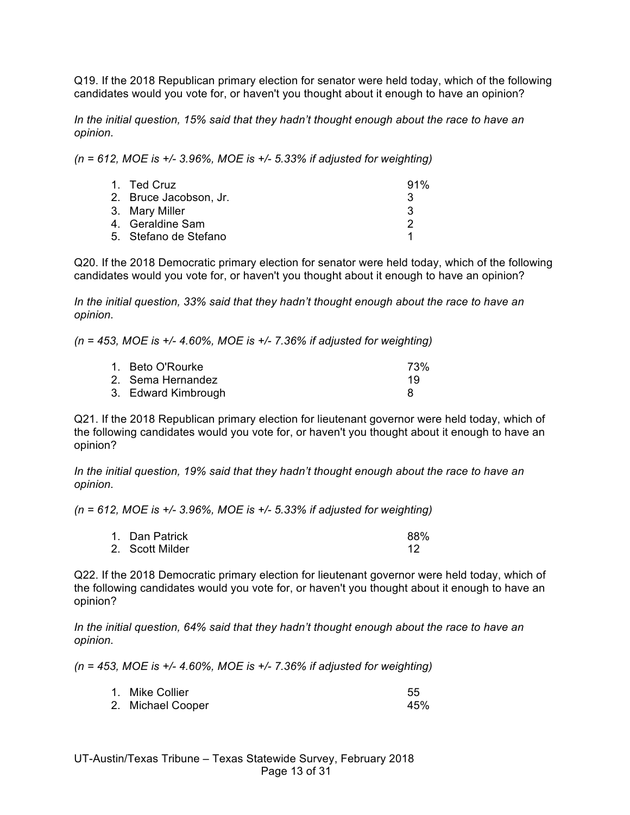Q19. If the 2018 Republican primary election for senator were held today, which of the following candidates would you vote for, or haven't you thought about it enough to have an opinion?

*In the initial question, 15% said that they hadn't thought enough about the race to have an opinion.*

*(n = 612, MOE is +/- 3.96%, MOE is +/- 5.33% if adjusted for weighting)*

| 1. Ted Cruz            | 91% |
|------------------------|-----|
| 2. Bruce Jacobson, Jr. | ્વ  |
| 3. Mary Miller         | 3   |
| 4. Geraldine Sam       |     |
| 5. Stefano de Stefano  |     |

Q20. If the 2018 Democratic primary election for senator were held today, which of the following candidates would you vote for, or haven't you thought about it enough to have an opinion?

*In the initial question, 33% said that they hadn't thought enough about the race to have an opinion.*

*(n = 453, MOE is +/- 4.60%, MOE is +/- 7.36% if adjusted for weighting)*

| 1. Beto O'Rourke    | 73% |
|---------------------|-----|
| 2. Sema Hernandez   | 19  |
| 3. Edward Kimbrough |     |

Q21. If the 2018 Republican primary election for lieutenant governor were held today, which of the following candidates would you vote for, or haven't you thought about it enough to have an opinion?

*In the initial question, 19% said that they hadn't thought enough about the race to have an opinion.*

*(n = 612, MOE is +/- 3.96%, MOE is +/- 5.33% if adjusted for weighting)*

| 1. Dan Patrick  | 88% |
|-----------------|-----|
| 2. Scott Milder |     |

Q22. If the 2018 Democratic primary election for lieutenant governor were held today, which of the following candidates would you vote for, or haven't you thought about it enough to have an opinion?

*In the initial question, 64% said that they hadn't thought enough about the race to have an opinion.*

*(n = 453, MOE is +/- 4.60%, MOE is +/- 7.36% if adjusted for weighting)*

| 1. Mike Collier   | 55  |
|-------------------|-----|
| 2. Michael Cooper | 45% |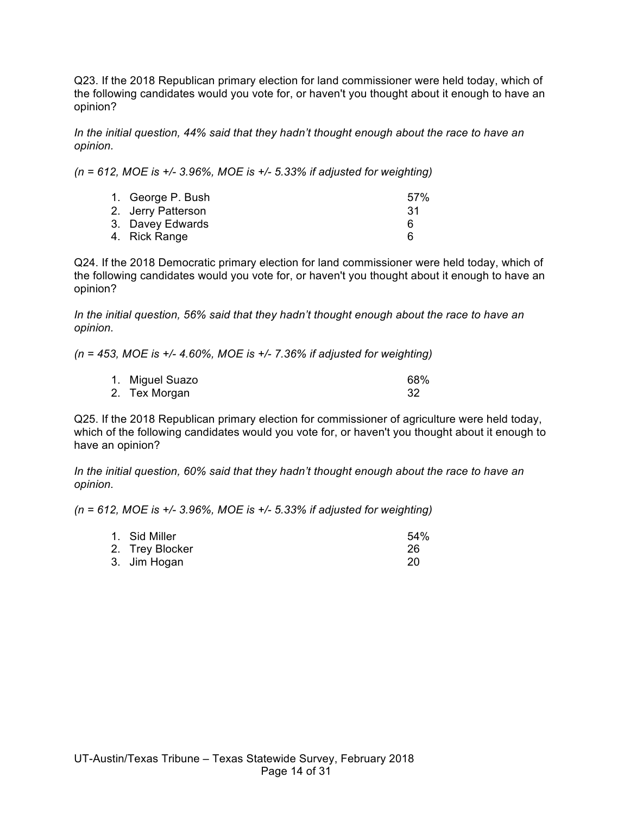Q23. If the 2018 Republican primary election for land commissioner were held today, which of the following candidates would you vote for, or haven't you thought about it enough to have an opinion?

*In the initial question, 44% said that they hadn't thought enough about the race to have an opinion.*

*(n = 612, MOE is +/- 3.96%, MOE is +/- 5.33% if adjusted for weighting)*

| 1. George P. Bush  | 57% |
|--------------------|-----|
| 2. Jerry Patterson | -31 |
| 3. Davey Edwards   | 6   |
| 4. Rick Range      |     |

Q24. If the 2018 Democratic primary election for land commissioner were held today, which of the following candidates would you vote for, or haven't you thought about it enough to have an opinion?

*In the initial question, 56% said that they hadn't thought enough about the race to have an opinion.*

*(n = 453, MOE is +/- 4.60%, MOE is +/- 7.36% if adjusted for weighting)*

| 1. Miguel Suazo | 68% |
|-----------------|-----|
| 2. Tex Morgan   |     |

Q25. If the 2018 Republican primary election for commissioner of agriculture were held today, which of the following candidates would you vote for, or haven't you thought about it enough to have an opinion?

*In the initial question, 60% said that they hadn't thought enough about the race to have an opinion.*

*(n = 612, MOE is +/- 3.96%, MOE is +/- 5.33% if adjusted for weighting)*

| 1. Sid Miller   | 54% |
|-----------------|-----|
| 2. Trey Blocker | 26  |
| 3. Jim Hogan    |     |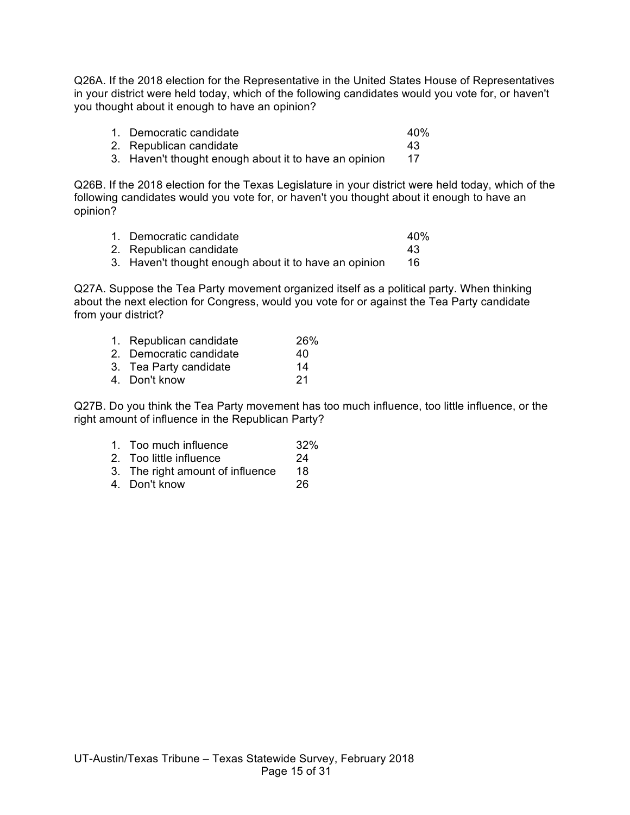Q26A. If the 2018 election for the Representative in the United States House of Representatives in your district were held today, which of the following candidates would you vote for, or haven't you thought about it enough to have an opinion?

| 1. Democratic candidate | 40% |
|-------------------------|-----|
| 2. Republican candidate |     |

3. Haven't thought enough about it to have an opinion 17

Q26B. If the 2018 election for the Texas Legislature in your district were held today, which of the following candidates would you vote for, or haven't you thought about it enough to have an opinion?

| 1. Democratic candidate | 40% |
|-------------------------|-----|
| 2. Republican candidate | 43  |

3. Haven't thought enough about it to have an opinion 16

Q27A. Suppose the Tea Party movement organized itself as a political party. When thinking about the next election for Congress, would you vote for or against the Tea Party candidate from your district?

| 1. Republican candidate | 26% |
|-------------------------|-----|
| 2. Democratic candidate | 40  |

- 3. Tea Party candidate 14<br>4. Don't know 121
- 4. Don't know

Q27B. Do you think the Tea Party movement has too much influence, too little influence, or the right amount of influence in the Republican Party?

- 1. Too much influence 32%
- 2. Too little influence 24
- 3. The right amount of influence 18
- 4. Don't know 26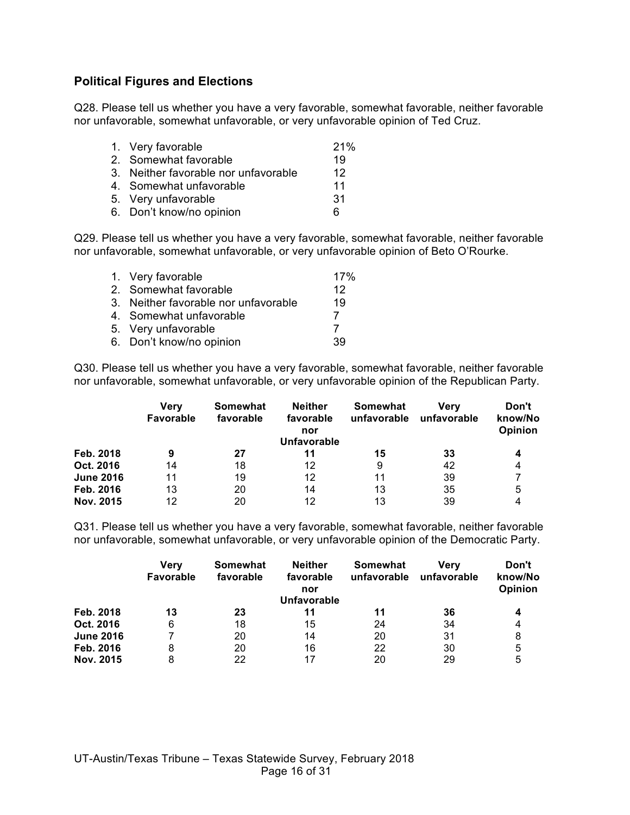# **Political Figures and Elections**

Q28. Please tell us whether you have a very favorable, somewhat favorable, neither favorable nor unfavorable, somewhat unfavorable, or very unfavorable opinion of Ted Cruz.

| 21%                                                                                                                                                              |
|------------------------------------------------------------------------------------------------------------------------------------------------------------------|
| 19                                                                                                                                                               |
| 12                                                                                                                                                               |
| 11                                                                                                                                                               |
| 31                                                                                                                                                               |
| 6                                                                                                                                                                |
| 1. Very favorable<br>2. Somewhat favorable<br>3. Neither favorable nor unfavorable<br>4. Somewhat unfavorable<br>5. Very unfavorable<br>6. Don't know/no opinion |

Q29. Please tell us whether you have a very favorable, somewhat favorable, neither favorable nor unfavorable, somewhat unfavorable, or very unfavorable opinion of Beto O'Rourke.

| 1. Very favorable                    | 17% |
|--------------------------------------|-----|
| 2. Somewhat favorable                | 12  |
| 3. Neither favorable nor unfavorable | 19  |
| 4. Somewhat unfavorable              |     |
| 5. Very unfavorable                  |     |
| 6. Don't know/no opinion             | 39  |

Q30. Please tell us whether you have a very favorable, somewhat favorable, neither favorable nor unfavorable, somewhat unfavorable, or very unfavorable opinion of the Republican Party.

|                  | Verv<br>Favorable | Somewhat<br>favorable | <b>Neither</b><br>favorable<br>nor<br><b>Unfavorable</b> | Somewhat<br>unfavorable | Verv<br>unfavorable | Don't<br>know/No<br>Opinion |
|------------------|-------------------|-----------------------|----------------------------------------------------------|-------------------------|---------------------|-----------------------------|
| Feb. 2018        | 9                 | 27                    |                                                          | 15                      | 33                  | 4                           |
| Oct. 2016        | 14                | 18                    | 12                                                       | 9                       | 42                  | 4                           |
| <b>June 2016</b> | 11                | 19                    | 12                                                       | 11                      | 39                  |                             |
| Feb. 2016        | 13                | 20                    | 14                                                       | 13                      | 35                  | 5                           |
| Nov. 2015        | 12                | 20                    | 12                                                       | 13                      | 39                  |                             |

Q31. Please tell us whether you have a very favorable, somewhat favorable, neither favorable nor unfavorable, somewhat unfavorable, or very unfavorable opinion of the Democratic Party.

|                  | Verv<br><b>Favorable</b> | Somewhat<br>favorable | <b>Neither</b><br>favorable<br>nor<br><b>Unfavorable</b> | Somewhat<br>unfavorable | Verv<br>unfavorable | Don't<br>know/No<br>Opinion |
|------------------|--------------------------|-----------------------|----------------------------------------------------------|-------------------------|---------------------|-----------------------------|
| Feb. 2018        | 13                       | 23                    | 11                                                       | 11                      | 36                  | 4                           |
| Oct. 2016        | 6                        | 18                    | 15                                                       | 24                      | 34                  | 4                           |
| <b>June 2016</b> |                          | 20                    | 14                                                       | 20                      | 31                  | 8                           |
| Feb. 2016        | 8                        | 20                    | 16                                                       | 22                      | 30                  | 5                           |
| Nov. 2015        | 8                        | 22                    | 17                                                       | 20                      | 29                  | 5                           |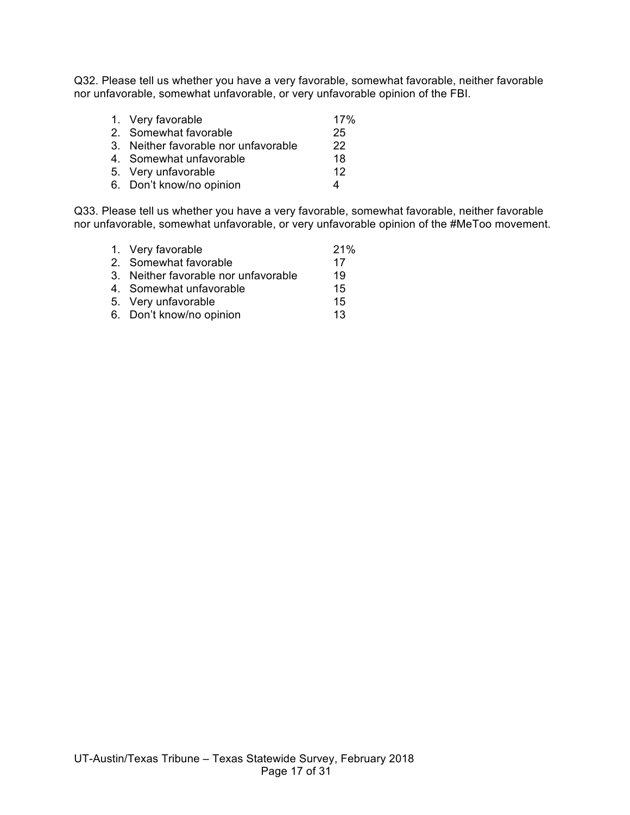Q32. Please tell us whether you have a very favorable, somewhat favorable, neither favorable nor unfavorable, somewhat unfavorable, or very unfavorable opinion of the FBI.

| 1. Very favorable                    | 17% |
|--------------------------------------|-----|
| 2. Somewhat favorable                | 25  |
| 3. Neither favorable nor unfavorable | 22  |
| 4. Somewhat unfavorable              | 18  |
| 5. Very unfavorable                  | 12  |
| 6. Don't know/no opinion             |     |

Q33. Please tell us whether you have a very favorable, somewhat favorable, neither favorable nor unfavorable, somewhat unfavorable, or very unfavorable opinion of the #MeToo movement.

| 1. Very favorable                    | 21% |
|--------------------------------------|-----|
| 2. Somewhat favorable                | 17  |
| 3. Neither favorable nor unfavorable | 19  |
| 4. Somewhat unfavorable              | 15  |
| 5. Very unfavorable                  | 15  |
| 6. Don't know/no opinion             | 13  |
|                                      |     |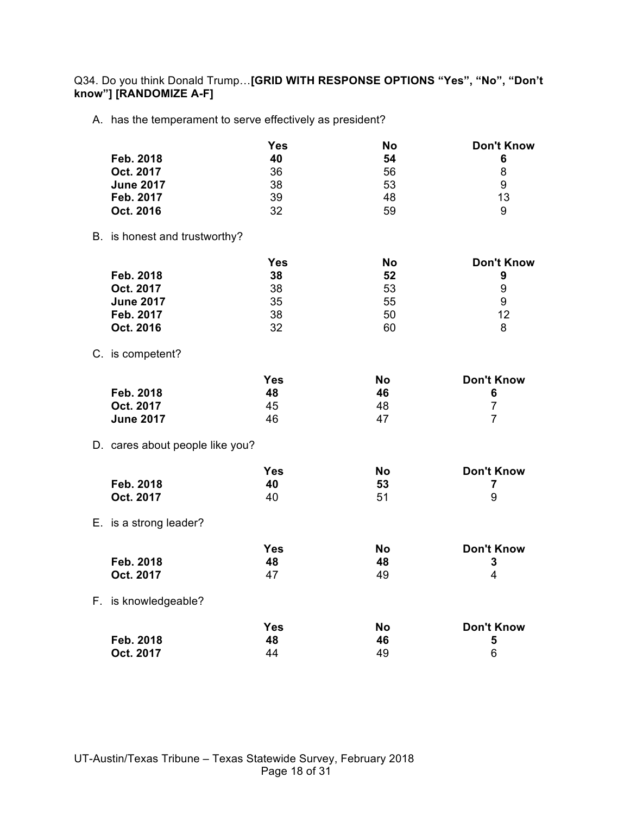Q34. Do you think Donald Trump…**[GRID WITH RESPONSE OPTIONS "Yes", "No", "Don't know"] [RANDOMIZE A-F]**

A. has the temperament to serve effectively as president?

|                                 | Yes        | <b>No</b> | <b>Don't Know</b> |
|---------------------------------|------------|-----------|-------------------|
| Feb. 2018                       | 40         | 54        | 6                 |
| Oct. 2017                       | 36         | 56        | 8                 |
| <b>June 2017</b>                | 38         | 53        | 9                 |
| Feb. 2017                       | 39         | 48        | 13                |
| Oct. 2016                       | 32         | 59        | 9                 |
| B. is honest and trustworthy?   |            |           |                   |
|                                 | <b>Yes</b> | <b>No</b> | <b>Don't Know</b> |
| Feb. 2018                       | 38         | 52        | 9                 |
| Oct. 2017                       | 38         | 53        | 9                 |
| <b>June 2017</b>                | 35         | 55        | 9                 |
| Feb. 2017                       | 38         | 50        | 12                |
| Oct. 2016                       | 32         | 60        | 8                 |
| C. is competent?                |            |           |                   |
|                                 | <b>Yes</b> | <b>No</b> | <b>Don't Know</b> |
| Feb. 2018                       | 48         | 46        | 6                 |
| Oct. 2017                       | 45         | 48        | $\overline{7}$    |
| <b>June 2017</b>                | 46         | 47        | $\overline{7}$    |
| D. cares about people like you? |            |           |                   |
|                                 | <b>Yes</b> | <b>No</b> | <b>Don't Know</b> |
| Feb. 2018                       | 40         | 53        | $\overline{7}$    |
| Oct. 2017                       | 40         | 51        | 9                 |
| E. is a strong leader?          |            |           |                   |
|                                 | <b>Yes</b> | <b>No</b> | <b>Don't Know</b> |
| Feb. 2018                       | 48         | 48        | 3                 |
| Oct. 2017                       | 47         | 49        | 4                 |
| F. is knowledgeable?            |            |           |                   |
|                                 | <b>Yes</b> | <b>No</b> | <b>Don't Know</b> |
| Feb. 2018                       | 48         | 46        | 5                 |
| Oct. 2017                       | 44         | 49        | 6                 |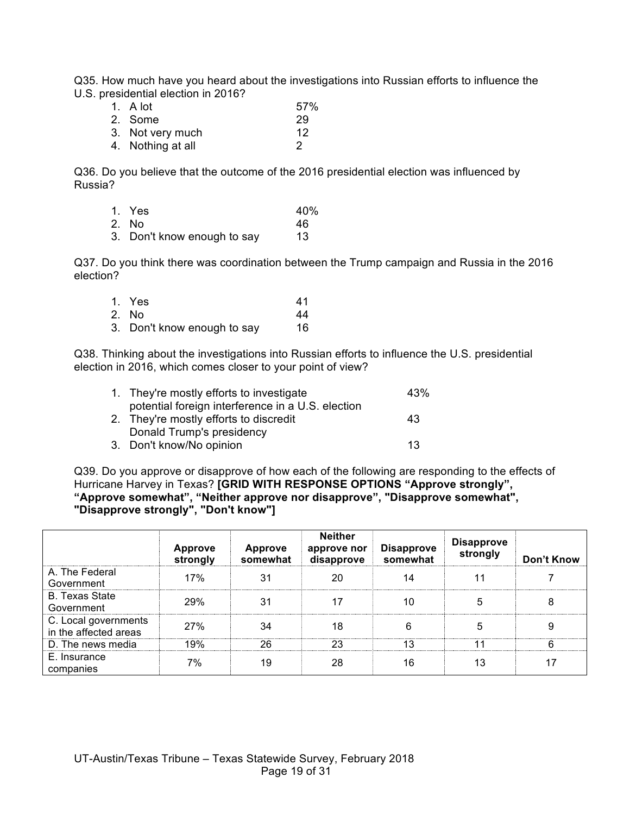Q35. How much have you heard about the investigations into Russian efforts to influence the U.S. presidential election in 2016?

| 1. A lot          | 57% |
|-------------------|-----|
| 2. Some           | 29  |
| 3. Not very much  | 12  |
| 4. Nothing at all | 2   |

Q36. Do you believe that the outcome of the 2016 presidential election was influenced by Russia?

| 1. Yes | 40% |
|--------|-----|
|        |     |

- 2. No 46
- 3. Don't know enough to say 13

Q37. Do you think there was coordination between the Trump campaign and Russia in the 2016 election?

| 1. Yes                      | 41  |
|-----------------------------|-----|
| 2. No                       | 44  |
| 3. Don't know enough to say | 16. |

Q38. Thinking about the investigations into Russian efforts to influence the U.S. presidential election in 2016, which comes closer to your point of view?

| 1. They're mostly efforts to investigate          | 43% |
|---------------------------------------------------|-----|
| potential foreign interference in a U.S. election |     |
| 2. They're mostly efforts to discredit            | 43  |
| Donald Trump's presidency                         |     |
| 3. Don't know/No opinion                          | 13  |

Q39. Do you approve or disapprove of how each of the following are responding to the effects of Hurricane Harvey in Texas? **[GRID WITH RESPONSE OPTIONS "Approve strongly", "Approve somewhat", "Neither approve nor disapprove", "Disapprove somewhat", "Disapprove strongly", "Don't know"]**

|                                               | <b>Approve</b><br>strongly | <b>Approve</b><br>somewhat | <b>Neither</b><br>approve nor<br>disapprove | <b>Disapprove</b><br>somewhat | <b>Disapprove</b><br>strongly | Don't Know |
|-----------------------------------------------|----------------------------|----------------------------|---------------------------------------------|-------------------------------|-------------------------------|------------|
| A. The Federal<br>Government                  | 17%                        | 31                         | 20                                          | 14                            |                               |            |
| <b>B. Texas State</b><br>Government           | 29%                        | 31                         | 17                                          | 10                            | 5                             | 8          |
| C. Local governments<br>in the affected areas | 27%                        | 34                         | 18                                          | 6                             | 5                             | 9          |
| D. The news media                             | 19%                        | 26                         | 23                                          | 13                            | 11                            | հ          |
| E. Insurance<br>companies                     | 7%                         | 19                         | 28                                          | 16                            | 13                            |            |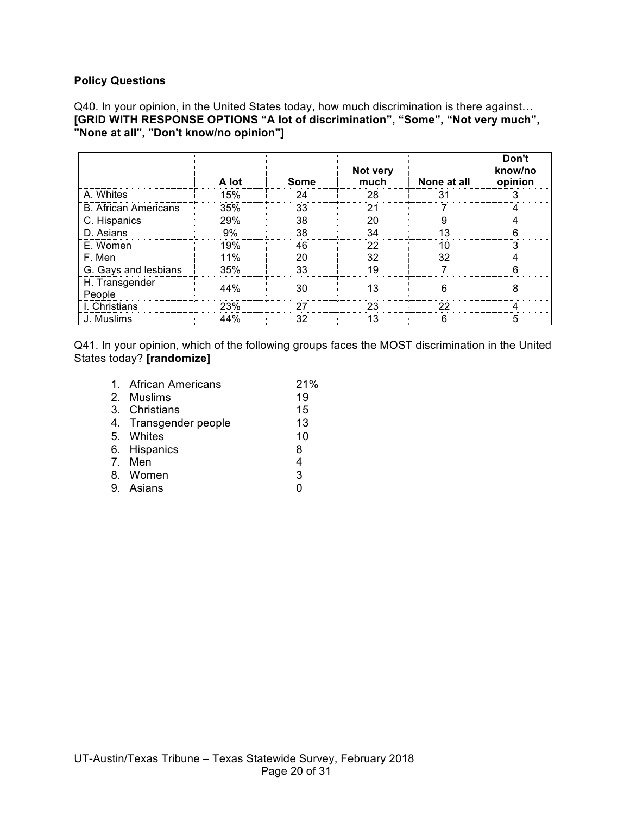#### **Policy Questions**

Q40. In your opinion, in the United States today, how much discrimination is there against… **[GRID WITH RESPONSE OPTIONS "A lot of discrimination", "Some", "Not very much", "None at all", "Don't know/no opinion"]**

|                             | A lot | Some | Not very<br>much | None at all | Don't<br>know/no<br>opinion |
|-----------------------------|-------|------|------------------|-------------|-----------------------------|
| A. Whites                   | 15%   | 24   | 28               |             |                             |
| <b>B. African Americans</b> | 35%   | 33   | ヮ・               |             |                             |
| C. Hispanics                | 29%   | 38   | 20               |             |                             |
| D. Asians                   | 9%    | 38   | 34               | 1 ว         |                             |
| E. Women                    | 19%   | 46   | 22               | 10          |                             |
| F. Men                      | 11%   |      | 32               | 32          |                             |
| G. Gays and lesbians        | 35%   | 33   | 10               |             |                             |
| H. Transgender<br>People    | 44%   | 30   | 13               |             |                             |
| I. Christians               | 23%   | 27   | 23               | つつ          |                             |
| J. Muslims                  | 44%   | 32   | 13               | n           |                             |

Q41. In your opinion, which of the following groups faces the MOST discrimination in the United States today? **[randomize]**

| 1. African Americans  | 21%            |
|-----------------------|----------------|
| 2. Muslims            | 19             |
| 3. Christians         | 15             |
| 4. Transgender people | 13             |
| 5. Whites             | 10             |
| 6. Hispanics          | 8              |
| 7. Men                | $\overline{4}$ |
| 8. Women              | $\mathbf{3}$   |
| 9. Asians             | 0              |
|                       |                |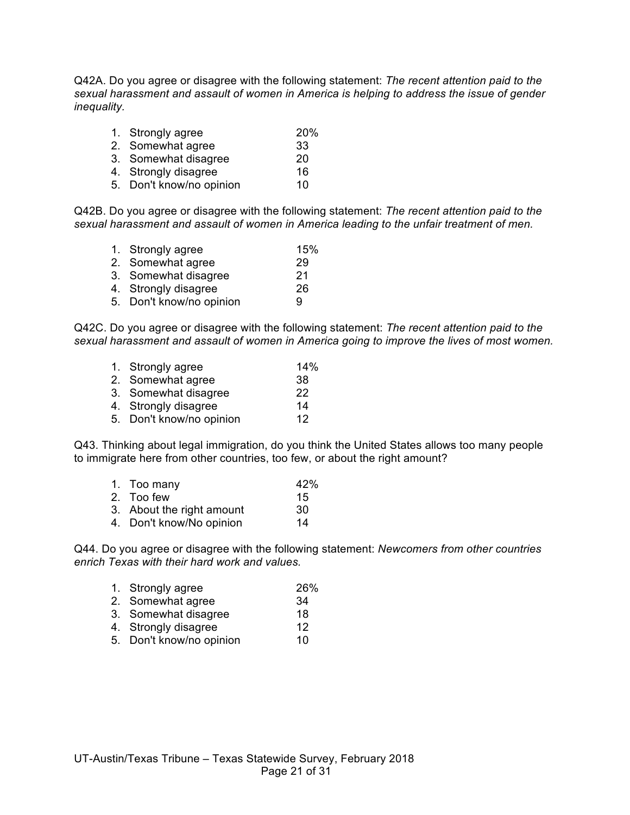Q42A. Do you agree or disagree with the following statement: *The recent attention paid to the sexual harassment and assault of women in America is helping to address the issue of gender inequality.*

| 1. Strongly agree        | <b>20%</b> |
|--------------------------|------------|
| 2. Somewhat agree        | 33         |
| 3. Somewhat disagree     | 20         |
| 4. Strongly disagree     | 16         |
| 5. Don't know/no opinion | 10         |

Q42B. Do you agree or disagree with the following statement: *The recent attention paid to the sexual harassment and assault of women in America leading to the unfair treatment of men.*

| 1. Strongly agree        | 15% |
|--------------------------|-----|
| 2. Somewhat agree        | 29  |
| 3. Somewhat disagree     | 21  |
| 4. Strongly disagree     | 26  |
| 5. Don't know/no opinion | g   |
|                          |     |

Q42C. Do you agree or disagree with the following statement: *The recent attention paid to the sexual harassment and assault of women in America going to improve the lives of most women.*

| 1. Strongly agree | 14% |
|-------------------|-----|
| 2. Somewhat agree | -38 |
|                   |     |

- 3. Somewhat disagree 22
- 4. Strongly disagree 14
- 5. Don't know/no opinion 12

Q43. Thinking about legal immigration, do you think the United States allows too many people to immigrate here from other countries, too few, or about the right amount?

- 1. Too many 42%
- 2. Too few 15
- 3. About the right amount 30
- 4. Don't know/No opinion 14

Q44. Do you agree or disagree with the following statement: *Newcomers from other countries enrich Texas with their hard work and values.*

| 1. Strongly agree                       | 26%            |
|-----------------------------------------|----------------|
| 2. Somewhat agree                       | 34             |
| 3. Somewhat disagree                    | 18             |
| 4. Strongly disagree                    | 12             |
| $\mathbf{F}$ . Dealtha surface existent | $\overline{a}$ |

5. Don't know/no opinion 10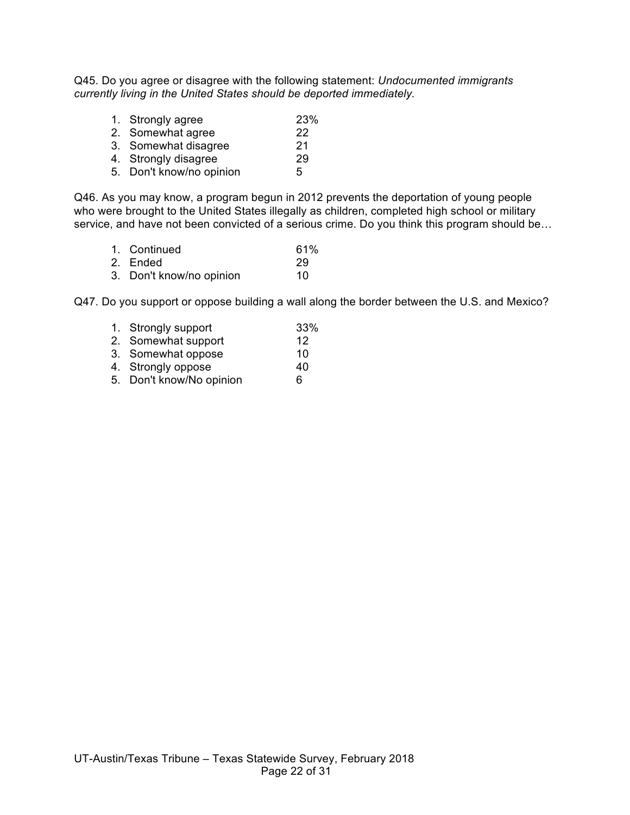Q45. Do you agree or disagree with the following statement: *Undocumented immigrants currently living in the United States should be deported immediately.*

- 1. Strongly agree 23%
- 2. Somewhat agree 22
- 3. Somewhat disagree 21
- 4. Strongly disagree 29
- 5. Don't know/no opinion 5

Q46. As you may know, a program begun in 2012 prevents the deportation of young people who were brought to the United States illegally as children, completed high school or military service, and have not been convicted of a serious crime. Do you think this program should be...

- 1. Continued 61%
- 2. Ended 29
- 3. Don't know/no opinion 10

Q47. Do you support or oppose building a wall along the border between the U.S. and Mexico?

- 1. Strongly support 33%
- 2. Somewhat support 12
- 3. Somewhat oppose 10
- 4. Strongly oppose 40<br>5. Don't know/No opinion 6
- 5. Don't know/No opinion 6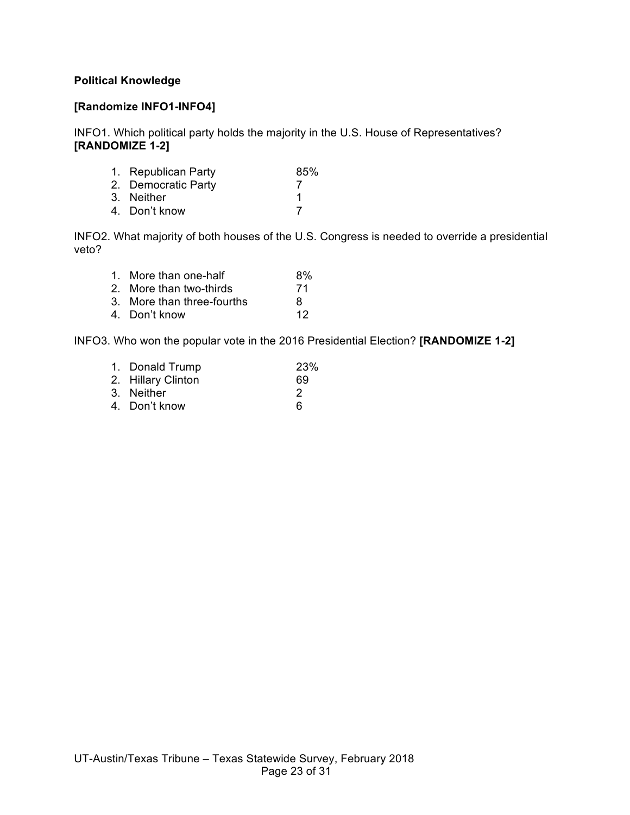## **Political Knowledge**

### **[Randomize INFO1-INFO4]**

INFO1. Which political party holds the majority in the U.S. House of Representatives? **[RANDOMIZE 1-2]**

| 1. Republican Party | 85% |
|---------------------|-----|
| 2. Democratic Party |     |
| 3. Neither          |     |
| 4. Don't know       |     |
|                     |     |

INFO2. What majority of both houses of the U.S. Congress is needed to override a presidential veto?

| 1. More than one-half      | 8% |
|----------------------------|----|
| 2. More than two-thirds    | 71 |
| 3. More than three-fourths | 8  |
| 4. Don't know              | 12 |

INFO3. Who won the popular vote in the 2016 Presidential Election? **[RANDOMIZE 1-2]**

| 1. Donald Trump    | 23% |
|--------------------|-----|
| 2. Hillary Clinton | 69  |
| 3. Neither         | 2   |
| 4. Don't know      | ิค  |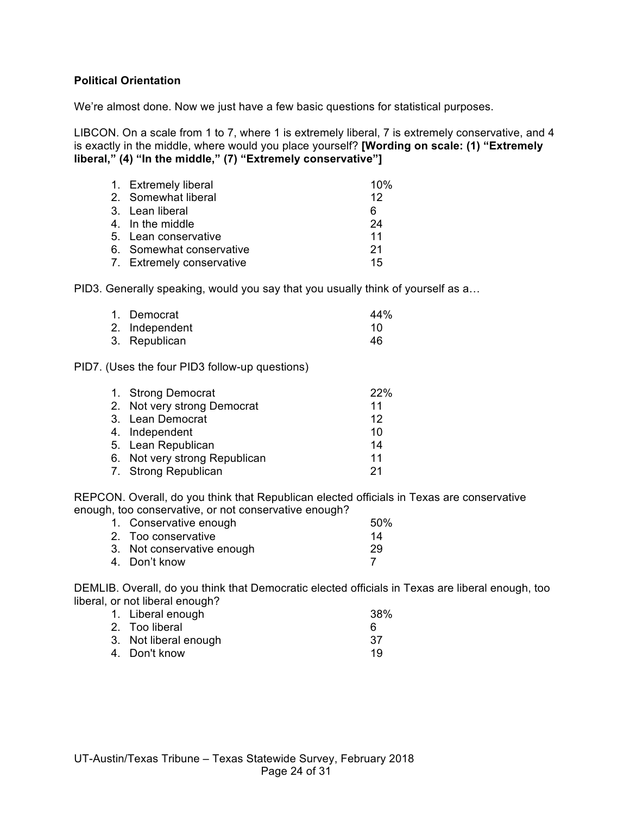### **Political Orientation**

We're almost done. Now we just have a few basic questions for statistical purposes.

LIBCON. On a scale from 1 to 7, where 1 is extremely liberal, 7 is extremely conservative, and 4 is exactly in the middle, where would you place yourself? **[Wording on scale: (1) "Extremely liberal," (4) "In the middle," (7) "Extremely conservative"]**

| 1. Extremely liberal      | 10% |
|---------------------------|-----|
| 2. Somewhat liberal       | 12  |
| 3. Lean liberal           | 6   |
| 4. In the middle          | 24  |
| 5. Lean conservative      | 11  |
| 6. Somewhat conservative  | 21  |
| 7. Extremely conservative | 15  |

PID3. Generally speaking, would you say that you usually think of yourself as a…

| 1. Democrat    | 44% |
|----------------|-----|
| 2. Independent | 10  |
| 3. Republican  | 46  |

PID7. (Uses the four PID3 follow-up questions)

| 1. Strong Democrat            | 22% |
|-------------------------------|-----|
| 2. Not very strong Democrat   | 11  |
| 3. Lean Democrat              | 12  |
| 4. Independent                | 10  |
| 5. Lean Republican            | 14  |
| 6. Not very strong Republican | 11  |
| 7. Strong Republican          | 21  |

REPCON. Overall, do you think that Republican elected officials in Texas are conservative enough, too conservative, or not conservative enough?

| 1. Conservative enough     | 50% |
|----------------------------|-----|
| 2. Too conservative        | 14  |
| 3. Not conservative enough | 29  |
| 4. Don't know              |     |

DEMLIB. Overall, do you think that Democratic elected officials in Texas are liberal enough, too liberal, or not liberal enough?

| 1. Liberal enough     | 38% |
|-----------------------|-----|
| 2. Too liberal        | ĥ   |
| 3. Not liberal enough | -37 |
| 4. Don't know         | 19  |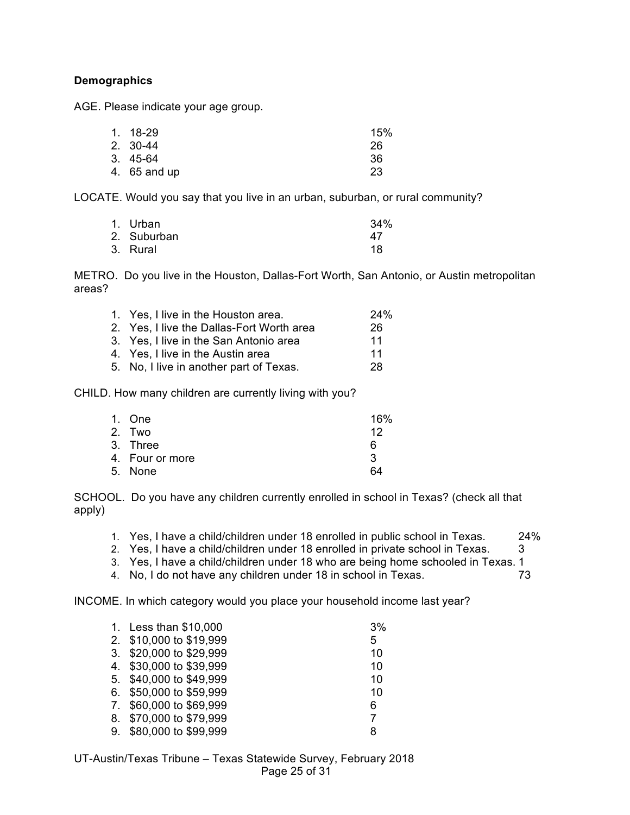## **Demographics**

AGE. Please indicate your age group.

| 1. 18-29     | 15% |
|--------------|-----|
| 2. 30-44     | 26  |
| 3. 45-64     | 36  |
| 4. 65 and up | 23  |

LOCATE. Would you say that you live in an urban, suburban, or rural community?

| 1. Urban    | 34% |
|-------------|-----|
| 2. Suburban | 47  |
| 3. Rural    | 18  |

METRO. Do you live in the Houston, Dallas-Fort Worth, San Antonio, or Austin metropolitan areas?

| 1. Yes, I live in the Houston area.       | 24% |
|-------------------------------------------|-----|
| 2. Yes, I live the Dallas-Fort Worth area | 26  |
| 3. Yes, I live in the San Antonio area    | 11  |
| 4. Yes, I live in the Austin area         | 11  |
| 5. No, I live in another part of Texas.   | 28  |
|                                           |     |

CHILD. How many children are currently living with you?

| 1. One          | 16% |
|-----------------|-----|
| 2. Two          | 12  |
| 3. Three        | 6   |
| 4. Four or more | 3   |
| 5. None         | 64  |
|                 |     |

SCHOOL. Do you have any children currently enrolled in school in Texas? (check all that apply)

- 1. Yes, I have a child/children under 18 enrolled in public school in Texas. 24%
- 2. Yes, I have a child/children under 18 enrolled in private school in Texas. 3
- 3. Yes, I have a child/children under 18 who are being home schooled in Texas. 1
- 4. No, I do not have any children under 18 in school in Texas. 73

INCOME. In which category would you place your household income last year?

| 1. Less than \$10,000   | 3% |
|-------------------------|----|
| 2. \$10,000 to \$19,999 | 5  |
| 3. \$20,000 to \$29,999 | 10 |
| 4. \$30,000 to \$39,999 | 10 |
| 5. \$40,000 to \$49,999 | 10 |
| 6. \$50,000 to \$59,999 | 10 |
| 7. \$60,000 to \$69,999 | 6  |
| 8. \$70,000 to \$79,999 | 7  |
| 9. \$80,000 to \$99,999 | 8  |
|                         |    |

UT-Austin/Texas Tribune – Texas Statewide Survey, February 2018 Page 25 of 31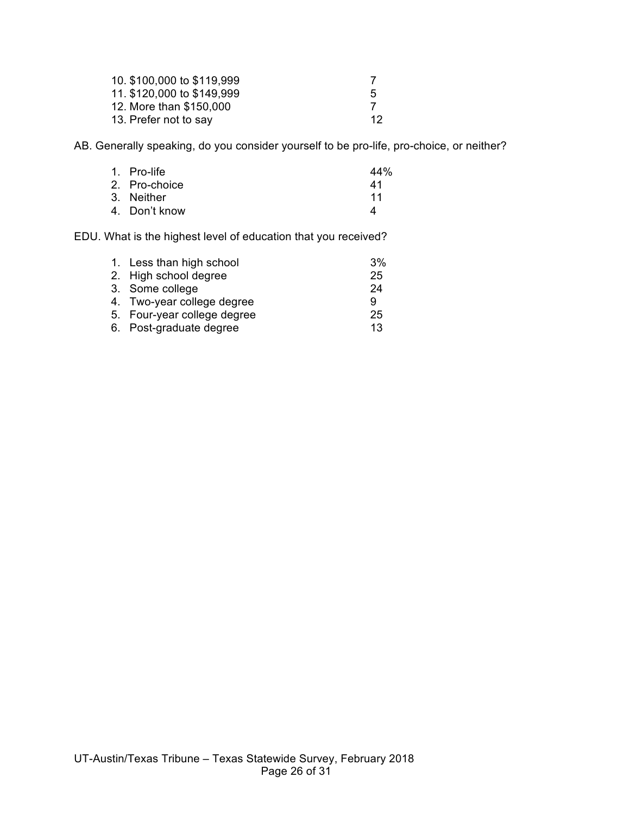| 10. \$100,000 to \$119,999 |             |
|----------------------------|-------------|
| 11. \$120,000 to \$149,999 | $5^{\circ}$ |
| 12. More than \$150,000    |             |
| 13. Prefer not to say      | -12         |

AB. Generally speaking, do you consider yourself to be pro-life, pro-choice, or neither?

| 1. Pro-life   | 44% |
|---------------|-----|
| 2. Pro-choice | 41  |
| 3. Neither    | 11  |
| 4. Don't know | Δ   |

EDU. What is the highest level of education that you received?

| 1. Less than high school    | 3% |
|-----------------------------|----|
| 2. High school degree       | 25 |
| 3. Some college             | 24 |
| 4. Two-year college degree  | 9  |
| 5. Four-year college degree | 25 |
| 6. Post-graduate degree     | 13 |
|                             |    |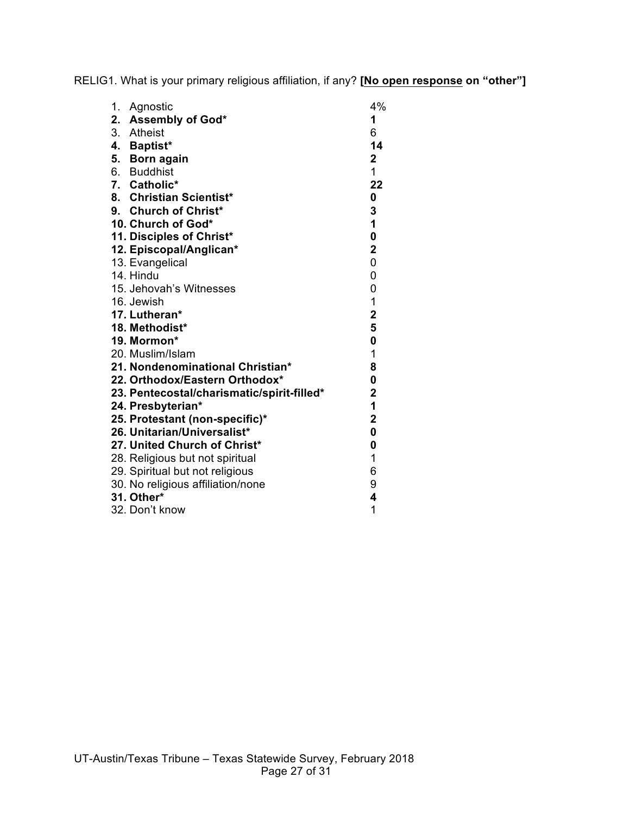RELIG1. What is your primary religious affiliation, if any? **[No open response on "other"]**

| 1.<br>Agnostic                             | 4%             |
|--------------------------------------------|----------------|
| 2. Assembly of God*                        | 1              |
| 3. Atheist                                 | 6              |
| 4. Baptist*                                | 14             |
| 5. Born again                              | $\mathbf 2$    |
| 6. Buddhist                                | $\overline{1}$ |
| 7. Catholic*                               | 22             |
| 8. Christian Scientist*                    | 0              |
| 9. Church of Christ*                       | 3              |
| 10. Church of God*                         | $\mathbf{1}$   |
| 11. Disciples of Christ*                   | $\pmb{0}$      |
| 12. Episcopal/Anglican*                    | $\mathbf 2$    |
| 13. Evangelical                            | 0              |
| 14. Hindu                                  | 0              |
| 15. Jehovah's Witnesses                    | 0              |
| 16. Jewish                                 | 1              |
| 17. Lutheran*                              | $\mathbf 2$    |
| 18. Methodist*                             | 5              |
| 19. Mormon*                                | $\pmb{0}$      |
| 20. Muslim/Islam                           | 1              |
| 21. Nondenominational Christian*           | 8              |
| 22. Orthodox/Eastern Orthodox*             | 0              |
| 23. Pentecostal/charismatic/spirit-filled* | $\mathbf 2$    |
| 24. Presbyterian*                          | 1              |
| 25. Protestant (non-specific)*             | $\mathbf 2$    |
| 26. Unitarian/Universalist*                | $\mathbf 0$    |
| 27. United Church of Christ*               | 0              |
| 28. Religious but not spiritual            | 1              |
| 29. Spiritual but not religious            | 6              |
| 30. No religious affiliation/none          | 9              |
| 31. Other*                                 | 4              |
| 32. Don't know                             | 1              |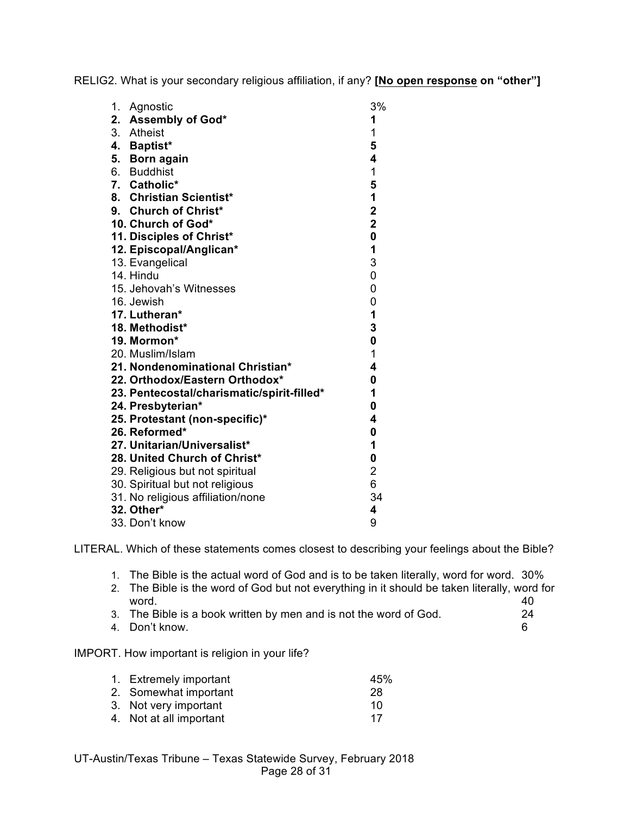RELIG2. What is your secondary religious affiliation, if any? **[No open response on "other"]**

| 1. | Agnostic                                   | 3%                      |
|----|--------------------------------------------|-------------------------|
|    | 2. Assembly of God*                        | 1                       |
|    | 3. Atheist                                 | 1                       |
|    | 4. Baptist*                                | 5                       |
|    | 5. Born again                              | 4                       |
|    | 6. Buddhist                                | 1                       |
|    | 7. Catholic*                               | 5                       |
|    | 8. Christian Scientist*                    | $\mathbf{1}$            |
|    | 9. Church of Christ*                       | $\overline{\mathbf{2}}$ |
|    | 10. Church of God*                         | $\overline{2}$          |
|    | 11. Disciples of Christ*                   | $\mathbf 0$             |
|    | 12. Episcopal/Anglican*                    | 1                       |
|    | 13. Evangelical                            | 3                       |
|    | 14. Hindu                                  | 0                       |
|    | 15. Jehovah's Witnesses                    | 0                       |
|    | 16. Jewish                                 | 0                       |
|    | 17. Lutheran*                              | 1                       |
|    | 18. Methodist*                             | 3                       |
|    | 19. Mormon*                                | $\mathbf{0}$            |
|    | 20. Muslim/Islam                           | 1                       |
|    | 21. Nondenominational Christian*           | 4                       |
|    | 22. Orthodox/Eastern Orthodox*             | 0                       |
|    | 23. Pentecostal/charismatic/spirit-filled* | 1                       |
|    | 24. Presbyterian*                          | 0                       |
|    | 25. Protestant (non-specific)*             | 4                       |
|    | 26. Reformed*                              | $\mathbf 0$             |
|    | 27. Unitarian/Universalist*                | 1                       |
|    | 28. United Church of Christ*               | 0                       |
|    | 29. Religious but not spiritual            | $\overline{2}$          |
|    | 30. Spiritual but not religious            | 6                       |
|    | 31. No religious affiliation/none          | 34                      |
|    | 32. Other*                                 | 4                       |
|    | 33. Don't know                             | 9                       |

LITERAL. Which of these statements comes closest to describing your feelings about the Bible?

- 1. The Bible is the actual word of God and is to be taken literally, word for word. 30%
- 2. The Bible is the word of God but not everything in it should be taken literally, word for word. 40
- 3. The Bible is a book written by men and is not the word of God. 24
- 4. Don't know. 6

# IMPORT. How important is religion in your life?

| 1. Extremely important  | 45% |
|-------------------------|-----|
| 2. Somewhat important   | 28  |
| 3. Not very important   | 10  |
| 4. Not at all important | 17  |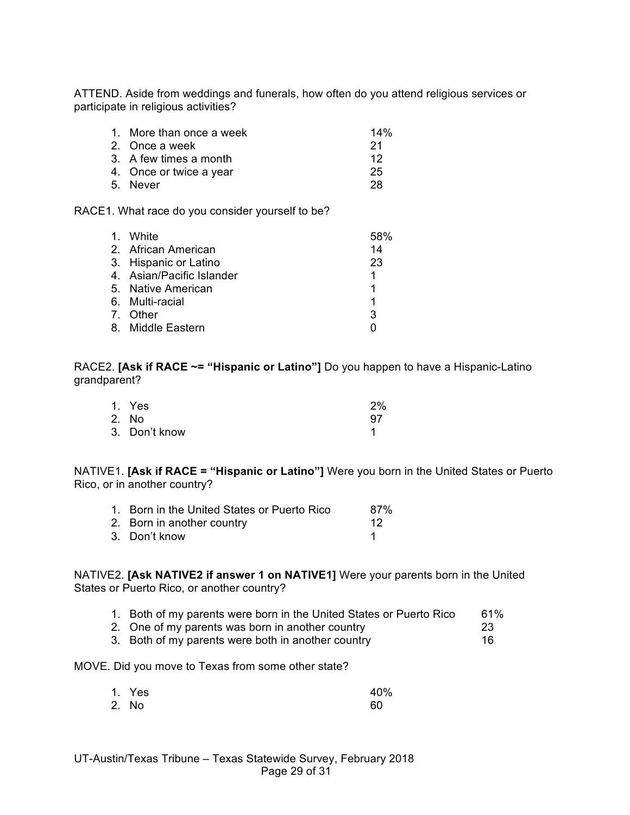ATTEND. Aside from weddings and funerals, how often do you attend religious services or participate in religious activities?

| 1. More than once a week | 14% |
|--------------------------|-----|
| 2. Once a week           | -21 |
| 3. A few times a month   | 12  |
| 4. Once or twice a year  | 25  |
| 5. Never                 | 28  |

RACE1. What race do you consider yourself to be?

| 1. White                  | 58% |
|---------------------------|-----|
| 2. African American       | 14  |
| 3. Hispanic or Latino     | 23  |
| 4. Asian/Pacific Islander | 1   |
| 5. Native American        |     |
| 6. Multi-racial           | 1   |
| 7. Other                  | 3   |
| 8. Middle Eastern         |     |

RACE2. **[Ask if RACE ~= "Hispanic or Latino"]** Do you happen to have a Hispanic-Latino grandparent?

| 1. Yes        | 2%  |
|---------------|-----|
| 2. No         | .97 |
| 3. Don't know |     |

NATIVE1. **[Ask if RACE = "Hispanic or Latino"]** Were you born in the United States or Puerto Rico, or in another country?

| 1. Born in the United States or Puerto Rico | 87% |
|---------------------------------------------|-----|
| 2. Born in another country                  | -12 |
| 3. Don't know                               |     |

NATIVE2. **[Ask NATIVE2 if answer 1 on NATIVE1]** Were your parents born in the United States or Puerto Rico, or another country?

|  |  |  |  |  | 1. Both of my parents were born in the United States or Puerto Rico | 61% |
|--|--|--|--|--|---------------------------------------------------------------------|-----|
|--|--|--|--|--|---------------------------------------------------------------------|-----|

- 2. One of my parents was born in another country 23
- 3. Both of my parents were both in another country 16

MOVE. Did you move to Texas from some other state?

| 1. Yes | 40% |
|--------|-----|
| 2. No  | 60  |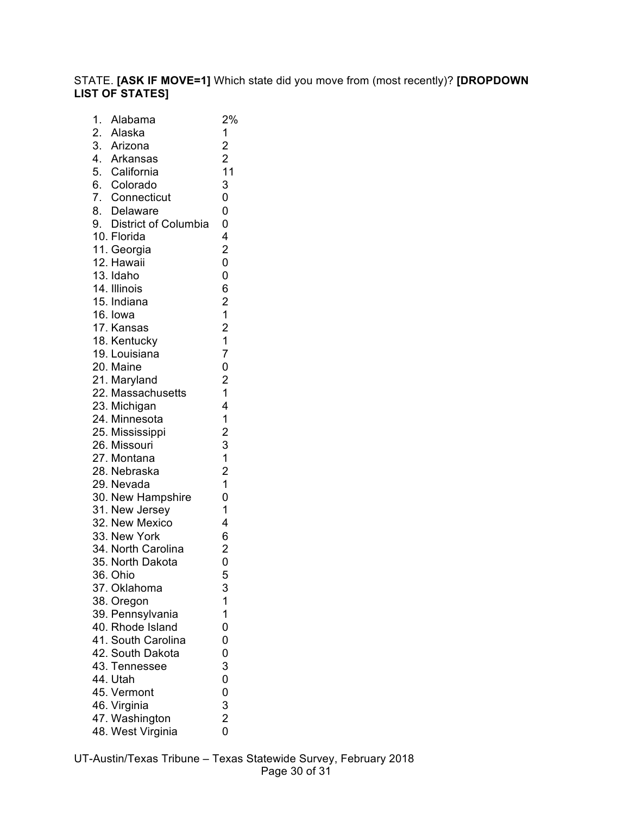## STATE. **[ASK IF MOVE=1]** Which state did you move from (most recently)? **[DROPDOWN LIST OF STATES]**

| 1. | Alabama                                                              | 2%                                          |
|----|----------------------------------------------------------------------|---------------------------------------------|
|    | 2. Alaska                                                            | $\mathbf 1$                                 |
|    | 3. Arizona                                                           | $\begin{array}{c} 2 \\ 2 \\ 11 \end{array}$ |
|    | 4. Arkansas                                                          |                                             |
|    | 5. California                                                        |                                             |
|    | 6. Colorado                                                          | 3                                           |
|    | 7. Connecticut                                                       | 0                                           |
|    |                                                                      | $\overline{0}$                              |
|    | 8. Delaware<br>8. Delaware<br>9. District of Columbia<br>10. Florida | 0                                           |
|    |                                                                      | 4                                           |
|    | 11. Georgia                                                          | $\overline{\mathbf{c}}$                     |
|    | 12. Hawaii                                                           | 0                                           |
|    | 13. Idaho                                                            | 0                                           |
|    | 14. Illinois                                                         | 6                                           |
|    | 15. Indiana                                                          | $\overline{\mathbf{c}}$                     |
|    | 16. lowa                                                             | $\overline{1}$                              |
|    | 17. Kansas                                                           |                                             |
|    | 18. Kentucky                                                         | $\begin{array}{c} 2 \\ 1 \end{array}$       |
|    | 19. Louisiana                                                        | $\overline{7}$                              |
|    | 20. Maine                                                            | $\mathbf{o}$                                |
|    | 21. Maryland                                                         |                                             |
|    | 22. Massachusetts                                                    | $\begin{array}{c} 2 \\ 1 \end{array}$       |
|    | 23. Michigan                                                         | 4                                           |
|    | 24. Minnesota                                                        | $\mathbf{1}$                                |
|    | 25. Mississippi                                                      |                                             |
|    | 26. Missouri                                                         | 23121                                       |
|    | 27. Montana                                                          |                                             |
|    | 28. Nebraska                                                         |                                             |
|    | 29. Nevada                                                           |                                             |
|    | 30. New Hampshire                                                    | 0                                           |
|    | 31. New Jersey                                                       | $\overline{1}$                              |
|    | 32. New Mexico                                                       | 4                                           |
|    | 33. New York                                                         | 6                                           |
|    | 34. North Carolina                                                   |                                             |
|    | 35. North Dakota                                                     | $\frac{2}{0}$                               |
|    | 36. Ohio                                                             | 5                                           |
|    | 37. Oklahoma                                                         |                                             |
|    | 38. Oregon                                                           | 3<br>1                                      |
|    | 39. Pennsylvania                                                     | $\mathbf 1$                                 |
|    | 40. Rhode Island                                                     | 0                                           |
|    | 41. South Carolina                                                   | 0                                           |
|    | 42. South Dakota                                                     | 0                                           |
|    | 43. Tennessee                                                        | 3                                           |
|    | 44. Utah                                                             |                                             |
|    | 45. Vermont                                                          | 00320                                       |
|    | 46. Virginia                                                         |                                             |
|    | 47. Washington                                                       |                                             |
|    | 48. West Virginia                                                    |                                             |
|    |                                                                      |                                             |